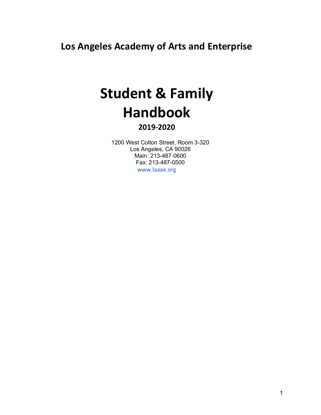**Los Angeles Academy of Arts and Enterprise**

# **Student & Family Handbook**

# **2019-2020**

1200 West Colton Street, Room 3-320 Los Angeles, CA 90026 Main: 213-487-0600 Fax: 213-487-0500 www.laaae.org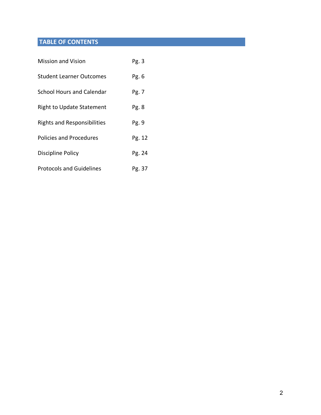# **TABLE OF CONTENTS**

| <b>Mission and Vision</b>          | Pg.3   |
|------------------------------------|--------|
| <b>Student Learner Outcomes</b>    | Pg. 6  |
| <b>School Hours and Calendar</b>   | Pg. 7  |
| <b>Right to Update Statement</b>   | Pg. 8  |
| <b>Rights and Responsibilities</b> | Pg. 9  |
| <b>Policies and Procedures</b>     | Pg. 12 |
| Discipline Policy                  | Pg. 24 |
| <b>Protocols and Guidelines</b>    | Pg. 37 |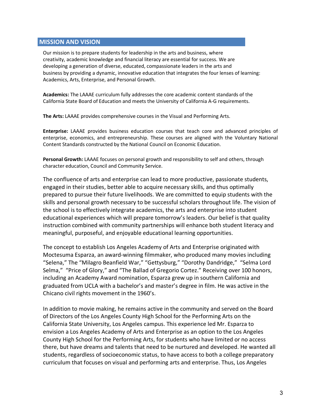#### **MISSION AND VISION**

Our mission is to prepare students for leadership in the arts and business, where creativity, academic knowledge and financial literacy are essential for success. We are developing a generation of diverse, educated, compassionate leaders in the arts and business by providing a dynamic, innovative education that integrates the four lenses of learning: Academics, Arts, Enterprise, and Personal Growth.

**Academics:** The LAAAE curriculum fully addresses the core academic content standards of the California State Board of Education and meets the University of California A-G requirements.

**The Arts:** LAAAE provides comprehensive courses in the Visual and Performing Arts.

**Enterprise:** LAAAE provides business education courses that teach core and advanced principles of enterprise, economics, and entrepreneurship. These courses are aligned with the Voluntary National Content Standards constructed by the National Council on Economic Education.

**Personal Growth:** LAAAE focuses on personal growth and responsibility to self and others, through character education, Council and Community Service.

The confluence of arts and enterprise can lead to more productive, passionate students, engaged in their studies, better able to acquire necessary skills, and thus optimally prepared to pursue their future livelihoods. We are committed to equip students with the skills and personal growth necessary to be successful scholars throughout life. The vision of the school is to effectively integrate academics, the arts and enterprise into student educational experiences which will prepare tomorrow's leaders. Our belief is that quality instruction combined with community partnerships will enhance both student literacy and meaningful, purposeful, and enjoyable educational learning opportunities.

The concept to establish Los Angeles Academy of Arts and Enterprise originated with Moctesuma Esparza, an award-winning filmmaker, who produced many movies including "Selena," The "Milagro Beanfield War," "Gettysburg," "Dorothy Dandridge," "Selma Lord Selma," "Price of Glory," and "The Ballad of Gregorio Cortez." Receiving over 100 honors, including an Academy Award nomination, Esparza grew up in southern California and graduated from UCLA with a bachelor's and master's degree in film. He was active in the Chicano civil rights movement in the 1960's.

In addition to movie making, he remains active in the community and served on the Board of Directors of the Los Angeles County High School for the Performing Arts on the California State University, Los Angeles campus. This experience led Mr. Esparza to envision a Los Angeles Academy of Arts and Enterprise as an option to the Los Angeles County High School for the Performing Arts, for students who have limited or no access there, but have dreams and talents that need to be nurtured and developed. He wanted all students, regardless of socioeconomic status, to have access to both a college preparatory curriculum that focuses on visual and performing arts and enterprise. Thus, Los Angeles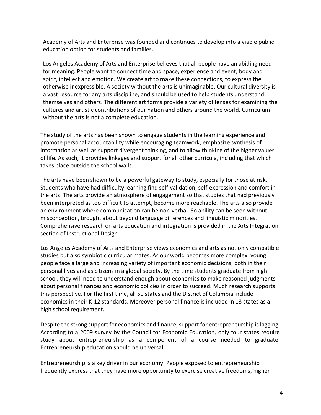Academy of Arts and Enterprise was founded and continues to develop into a viable public education option for students and families.

Los Angeles Academy of Arts and Enterprise believes that all people have an abiding need for meaning. People want to connect time and space, experience and event, body and spirit, intellect and emotion. We create art to make these connections, to express the otherwise inexpressible. A society without the arts is unimaginable. Our cultural diversity is a vast resource for any arts discipline, and should be used to help students understand themselves and others. The different art forms provide a variety of lenses for examining the cultures and artistic contributions of our nation and others around the world. Curriculum without the arts is not a complete education.

The study of the arts has been shown to engage students in the learning experience and promote personal accountability while encouraging teamwork, emphasize synthesis of information as well as support divergent thinking, and to allow thinking of the higher values of life. As such, it provides linkages and support for all other curricula, including that which takes place outside the school walls.

The arts have been shown to be a powerful gateway to study, especially for those at risk. Students who have had difficulty learning find self-validation, self-expression and comfort in the arts. The arts provide an atmosphere of engagement so that studies that had previously been interpreted as too difficult to attempt, become more reachable. The arts also provide an environment where communication can be non-verbal. So ability can be seen without misconception, brought about beyond language differences and linguistic minorities. Comprehensive research on arts education and integration is provided in the Arts Integration section of Instructional Design.

Los Angeles Academy of Arts and Enterprise views economics and arts as not only compatible studies but also symbiotic curricular mates. As our world becomes more complex, young people face a large and increasing variety of important economic decisions, both in their personal lives and as citizens in a global society. By the time students graduate from high school, they will need to understand enough about economics to make reasoned judgments about personal finances and economic policies in order to succeed. Much research supports this perspective. For the first time, all 50 states and the District of Columbia include economics in their K-12 standards. Moreover personal finance is included in 13 states as a high school requirement.

Despite the strong support for economics and finance, support for entrepreneurship is lagging. According to a 2009 survey by the Council for Economic Education, only four states require study about entrepreneurship as a component of a course needed to graduate. Entrepreneurship education should be universal.

Entrepreneurship is a key driver in our economy. People exposed to entrepreneurship frequently express that they have more opportunity to exercise creative freedoms, higher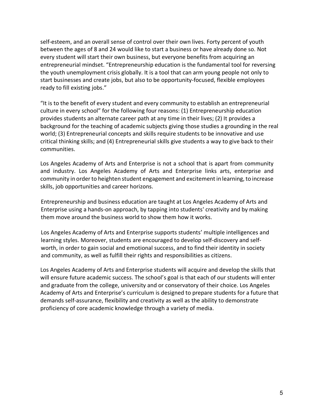self-esteem, and an overall sense of control over their own lives. Forty percent of youth between the ages of 8 and 24 would like to start a business or have already done so. Not every student will start their own business, but everyone benefits from acquiring an entrepreneurial mindset. "Entrepreneurship education is the fundamental tool for reversing the youth unemployment crisis globally. It is a tool that can arm young people not only to start businesses and create jobs, but also to be opportunity-focused, flexible employees ready to fill existing jobs."

"It is to the benefit of every student and every community to establish an entrepreneurial culture in every school" for the following four reasons: (1) Entrepreneurship education provides students an alternate career path at any time in their lives; (2) It provides a background for the teaching of academic subjects giving those studies a grounding in the real world; (3) Entrepreneurial concepts and skills require students to be innovative and use critical thinking skills; and (4) Entrepreneurial skills give students a way to give back to their communities.

Los Angeles Academy of Arts and Enterprise is not a school that is apart from community and industry. Los Angeles Academy of Arts and Enterprise links arts, enterprise and community in order to heighten student engagement and excitement in learning, to increase skills, job opportunities and career horizons.

Entrepreneurship and business education are taught at Los Angeles Academy of Arts and Enterprise using a hands-on approach, by tapping into students' creativity and by making them move around the business world to show them how it works.

Los Angeles Academy of Arts and Enterprise supports students' multiple intelligences and learning styles. Moreover, students are encouraged to develop self-discovery and selfworth, in order to gain social and emotional success, and to find their identity in society and community, as well as fulfill their rights and responsibilities as citizens.

Los Angeles Academy of Arts and Enterprise students will acquire and develop the skills that will ensure future academic success. The school's goal is that each of our students will enter and graduate from the college, university and or conservatory of their choice. Los Angeles Academy of Arts and Enterprise's curriculum is designed to prepare students for a future that demands self-assurance, flexibility and creativity as well as the ability to demonstrate proficiency of core academic knowledge through a variety of media.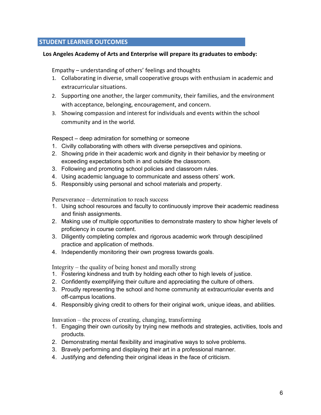# **STUDENT LEARNER OUTCOMES**

#### **Los Angeles Academy of Arts and Enterprise will prepare its graduates to embody:**

Empathy – understanding of others' feelings and thoughts

- 1. Collaborating in diverse, small cooperative groups with enthusiam in academic and extracurricular situations.
- 2. Supporting one another, the larger community, their families, and the environment with acceptance, belonging, encouragement, and concern.
- 3. Showing compassion and interest for individuals and events within the school community and in the world.

Respect – deep admiration for something or someone

- 1. Civilly collaborating with others with diverse persepctives and opinions.
- 2. Showing pride in their academic work and dignity in their behavior by meeting or exceeding expectations both in and outside the classroom.
- 3. Following and promoting school policies and classroom rules.
- 4. Using academic language to communicate and assess others' work.
- 5. Responsibly using personal and school materials and property.

Perseverance – determination to reach success

- 1. Using school resources and faculty to continuously improve their academic readiness and finish assignments.
- 2. Making use of multiple opportunities to demonstrate mastery to show higher levels of proficiency in course content.
- 3. Diligently completing complex and rigorous academic work through desciplined practice and application of methods.
- 4. Independently monitoring their own progress towards goals.

Integrity – the quality of being honest and morally strong

- 1. Fostering kindness and truth by holding each other to high levels of justice.
- 2. Confidently exemplifying their culture and appreciating the culture of others.
- 3. Proudly representing the school and home community at extracurricular events and off-campus locations.
- 4. Responsibly giving credit to others for their original work, unique ideas, and abilities.

Innvation – the process of creating, changing, transforming

- 1. Engaging their own curiosity by trying new methods and strategies, activities, tools and products.
- 2. Demonstrating mental flexibility and imaginative ways to solve problems.
- 3. Bravely performing and displaying their art in a professional manner.
- 4. Justifying and defending their original ideas in the face of criticism.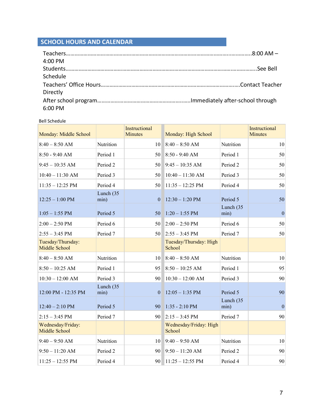# **SCHOOL HOURS AND CALENDAR**

| 4:00 PM  |  |
|----------|--|
|          |  |
| Schedule |  |
|          |  |
| Directly |  |
|          |  |
| 6:00 PM  |  |

#### Bell Schedule

| Monday: Middle School                     |                      | Instructional<br><b>Minutes</b> | Monday: High School              |                      | Instructional<br><b>Minutes</b> |
|-------------------------------------------|----------------------|---------------------------------|----------------------------------|----------------------|---------------------------------|
| $8:40 - 8:50$ AM                          | Nutrition            | 10                              | $8:40 - 8:50$ AM                 | Nutrition            | 10                              |
| $8:50 - 9:40$ AM                          | Period 1             | 50                              | $8:50 - 9:40$ AM                 | Period 1             | 50                              |
| $9:45 - 10:35$ AM                         | Period <sub>2</sub>  | 50                              | $9:45 - 10:35$ AM                | Period <sub>2</sub>  | 50                              |
| $10:40 - 11:30$ AM                        | Period 3             | 50                              | $10:40 - 11:30$ AM               | Period 3             | 50                              |
| $11:35 - 12:25$ PM                        | Period 4             | 50                              | $11:35 - 12:25$ PM               | Period 4             | 50                              |
| $12:25 - 1:00$ PM                         | Lunch (35<br>min)    | $\mathbf{0}$                    | $12:30 - 1:20$ PM                | Period 5             | 50                              |
| $1:05 - 1:55$ PM                          | Period 5             | 50                              | $1:20 - 1:55$ PM                 | Lunch $(35)$<br>min) | $\overline{0}$                  |
| $2:00 - 2:50$ PM                          | Period 6             | 50                              | $2:00 - 2:50$ PM                 | Period 6             | 50                              |
| $2:55 - 3:45$ PM                          | Period 7             | 50                              | $2:55 - 3:45$ PM                 | Period 7             | 50                              |
| Tuesday/Thursday:<br><b>Middle School</b> |                      |                                 | Tuesday/Thursday: High<br>School |                      |                                 |
| $8:40 - 8:50$ AM                          | Nutrition            | 10                              | $8:40 - 8:50$ AM                 | Nutrition            | 10                              |
| $8:50 - 10:25$ AM                         | Period 1             | 95                              | $8:50 - 10:25$ AM                | Period 1             | 95                              |
| $10:30 - 12:00$ AM                        | Period 3             | 90                              | $10:30 - 12:00$ AM               | Period 3             | 90                              |
| 12:00 PM - 12:35 PM                       | Lunch $(35)$<br>min) | $\mathbf{0}$                    | $12:05 - 1:35$ PM                | Period 5             | 90                              |
| $12:40 - 2:10$ PM                         | Period 5             | 90                              | $1:35 - 2:10$ PM                 | Lunch $(35)$<br>min) | $\mathbf{0}$                    |
| $2:15 - 3:45$ PM                          | Period 7             | 90                              | $2:15 - 3:45$ PM                 | Period 7             | 90                              |
| Wednesday/Friday:<br><b>Middle School</b> |                      |                                 | Wednesday/Friday: High<br>School |                      |                                 |
| $9:40 - 9:50$ AM                          | Nutrition            | 10                              | $9:40 - 9:50$ AM                 | Nutrition            | 10                              |
| $9:50 - 11:20$ AM                         | Period <sub>2</sub>  | 90                              | $9:50 - 11:20$ AM                | Period 2             | 90                              |
| $11:25 - 12:55 \text{ PM}$                | Period 4             | 90                              | $11:25 - 12:55 \text{ PM}$       | Period 4             | 90                              |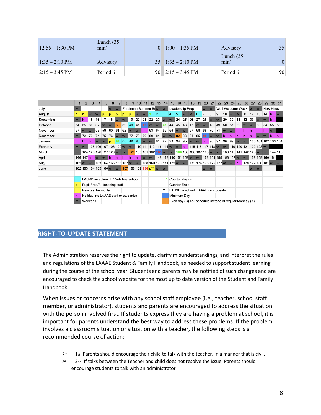| $12:55 - 1:30$ PM        | Lunch $(35)$<br>min) | $1:00-1:35$ PM                    | Advisory             | 35 <sup>2</sup> |
|--------------------------|----------------------|-----------------------------------|----------------------|-----------------|
| $1:35 - 2:10 \text{ PM}$ | Advisory             | $35 \quad 1:35 - 2:10 \text{ PM}$ | Lunch $(35)$<br>min) | 0               |
| $ 2:15 - 3:45$ PM        | Period 6             | 90 $2:15 - 3:45 \text{ PM}$       | Period 6             | 90              |

|           |    |           |         |                               |    |    |    |                         |                                                                           |    |     |          |          |                |                |                |       |                 |     | 20       |                                                          |          | 23    | 24 | 25                |              |                         |          |    |                     |         |
|-----------|----|-----------|---------|-------------------------------|----|----|----|-------------------------|---------------------------------------------------------------------------|----|-----|----------|----------|----------------|----------------|----------------|-------|-----------------|-----|----------|----------------------------------------------------------|----------|-------|----|-------------------|--------------|-------------------------|----------|----|---------------------|---------|
| July      |    |           |         |                               |    |    |    |                         | Freshman Summer Br w w                                                    |    |     |          |          |                |                |                |       | Leadership Prep |     | <b>W</b> | W                                                        |          |       |    | Wolf Welcome Week |              |                         | <b>W</b> |    | New Hires           |         |
| August    |    |           |         |                               |    |    |    |                         |                                                                           |    |     |          |          |                |                | 5              |       |                 | l 6 |          | 8                                                        | 9        | 10    |    |                   | 11           | 12                      | 13       | 14 |                     |         |
| September |    | h         | 15      | 16                            |    | 18 |    |                         | 19                                                                        | 20 | 21  | 22       | 23       |                | <b>W</b>       | 24             | 25    | 26              | 27  | 28       |                                                          | W        | 29    | 30 | 31                | 32           | 33                      |          |    |                     |         |
| October   | 34 | 35        | 36      | 37                            |    |    | 38 | 39                      | 40                                                                        | 41 | 42. |          | <b>W</b> |                | 44             | 45             | 46    | 47              |     | W        | 48 49                                                    |          | 50 51 |    | 52                | W            | W                       | 53 54    |    | 55 56               |         |
| November  | 57 |           | W       | 58                            | 59 | 60 | 61 | 62                      |                                                                           | W  | h   | 63 64    |          | 65             | 66             | <b>W</b>       | W     | 467             | 68  | 69       | 70                                                       | 71       | w     | W  | h                 |              |                         |          |    |                     |         |
| December  |    | 72 73     |         | 74                            | 75 | 76 |    | W                       | 77 78                                                                     |    |     | 79 80 81 |          | $\overline{M}$ | w              |                | 82 83 | 84 85           |     | 86       | w                                                        | w        | h     |    |                   |              |                         |          |    |                     |         |
| January   | h  |           |         |                               | W  | D  |    | 88 89                   |                                                                           | 90 | w w |          |          |                | 91 92 93 94 95 |                |       | w w h           |     |          |                                                          | 96 97 98 |       | 99 | W                 | $\mathbf{w}$ |                         |          |    | 100 101 102 103 104 |         |
| February  |    | W         |         |                               |    |    |    | 105 106 107 108 109 w w |                                                                           |    |     |          |          |                |                |                |       |                 |     |          | 110 111 112 113 114 w w h 115 116 117 118 w w            |          |       |    |                   |              | 119 120 121 122 123 w   |          |    |                     |         |
| March     |    |           |         | 124 125 126 127 128 w w       |    |    |    |                         | 129 130 131 132 133 w w 134 135 136 137 138 w w                           |    |     |          |          |                |                |                |       |                 |     |          |                                                          |          |       |    |                   |              | 139 140 141 142 143 w w |          |    |                     | 144 145 |
| April     |    | 146 147 h |         | w w                           |    | h  | h  | h                       | h                                                                         | h  | w w |          |          |                |                |                |       |                 |     |          | 148 149 150 151 152 w w 153 154 155 156 157 w w          |          |       |    |                   |              |                         |          |    | 158 159 160 161     |         |
| May       |    | $162$ w w |         |                               |    |    |    |                         | 163 164 165 166 167 w w 168 169 170 171 172 w w 173 174 175 176 177 w w h |    |     |          |          |                |                |                |       |                 |     |          |                                                          |          |       |    |                   |              |                         |          |    | 178 179 180 181 w w |         |
| June      |    |           |         |                               |    |    |    |                         | 182 183 184 185 186 w w 187 188 189 190 p** w w                           |    |     |          |          |                |                |                |       |                 |     | W        | <b>W</b>                                                 |          |       |    |                   |              | <b>W</b>                | <b>W</b> |    |                     |         |
|           |    |           |         |                               |    |    |    |                         |                                                                           |    |     |          |          |                |                |                |       |                 |     |          |                                                          |          |       |    |                   |              |                         |          |    |                     |         |
|           |    |           |         |                               |    |    |    |                         | LAUSD no school, LAAAE has school                                         |    |     |          |          |                |                | Quarter Begins |       |                 |     |          |                                                          |          |       |    |                   |              |                         |          |    |                     |         |
|           |    |           |         | Pupil Free/All teaching staff |    |    |    |                         |                                                                           |    |     |          |          |                | 1 Quarter Ends |                |       |                 |     |          |                                                          |          |       |    |                   |              |                         |          |    |                     |         |
|           |    |           |         | New teachers only             |    |    |    |                         |                                                                           |    |     |          |          | ww             |                |                |       |                 |     |          | LAUSD in school, LAAAE no students                       |          |       |    |                   |              |                         |          |    |                     |         |
|           |    |           |         |                               |    |    |    |                         | Holiday (no LAAAE staff or students)                                      |    |     |          |          |                |                | Minimum Day    |       |                 |     |          |                                                          |          |       |    |                   |              |                         |          |    |                     |         |
|           |    |           | Weekend |                               |    |    |    |                         |                                                                           |    |     |          |          |                |                |                |       |                 |     |          | Even day (C) bell schedule instead of regular Monday (A) |          |       |    |                   |              |                         |          |    |                     |         |

# **RIGHT-TO-UPDATE STATEMENT**

The Administration reserves the right to update, clarify misunderstandings, and interpret the rules and regulations of the LAAAE Student & Family Handbook, as needed to support student learning during the course of the school year. Students and parents may be notified of such changes and are encouraged to check the school website for the most up to date version of the Student and Family Handbook.

When issues or concerns arise with any school staff employee (i.e., teacher, school staff member, or administrator), students and parents are encouraged to address the situation with the person involved first. If students express they are having a problem at school, it is important for parents understand the best way to address these problems. If the problem involves a classroom situation or situation with a teacher, the following steps is a recommended course of action:

- $\geq 1$ st: Parents should encourage their child to talk with the teacher, in a manner that is civil.
- $\geq$  2nd: If talks between the Teacher and child does not resolve the issue, Parents should encourage students to talk with an administrator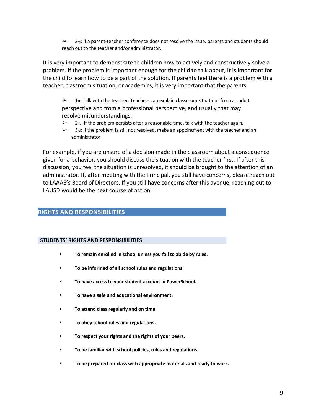$\geq$  3rd: If a parent-teacher conference does not resolve the issue, parents and students should reach out to the teacher and/or administrator.

It is very important to demonstrate to children how to actively and constructively solve a problem. If the problem is important enough for the child to talk about, it is important for the child to learn how to be a part of the solution. If parents feel there is a problem with a teacher, classroom situation, or academics, it is very important that the parents:

 $\geq 1$ st: Talk with the teacher. Teachers can explain classroom situations from an adult perspective and from a professional perspective, and usually that may resolve misunderstandings.

- $\geq$  2<sub>nd</sub>: If the problem persists after a reasonable time, talk with the teacher again.
- $\geq$  3rd: If the problem is still not resolved, make an appointment with the teacher and an administrator

For example, if you are unsure of a decision made in the classroom about a consequence given for a behavior, you should discuss the situation with the teacher first. If after this discussion, you feel the situation is unresolved, it should be brought to the attention of an administrator. If, after meeting with the Principal, you still have concerns, please reach out to LAAAE's Board of Directors. If you still have concerns after this avenue, reaching out to LAUSD would be the next course of action.

# **RIGHTS AND RESPONSIBILITIES**

#### **STUDENTS' RIGHTS AND RESPONSIBILITIES**

- **To remain enrolled in school unless you fail to abide by rules.**
- **To be informed of all school rules and regulations.**
- **To have access to your student account in PowerSchool.**
- **To have a safe and educational environment.**
- **To attend class regularly and on time.**
- **To obey school rules and regulations.**
- **To respect your rights and the rights of your peers.**
- **To be familiar with school policies, rules and regulations.**
- **To be prepared for class with appropriate materials and ready to work.**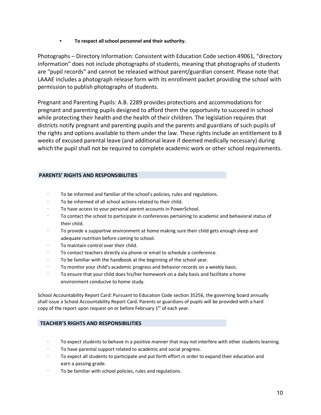**• To respect all school personnel and their authority.**

Photographs – Directory Information: Consistent with Education Code section 49061, "directory information" does not include photographs of students, meaning that photographs of students are "pupil records" and cannot be released without parent/guardian consent. Please note that LAAAE includes a photograph release form with its enrollment packet providing the school with permission to publish photographs of students.

Pregnant and Parenting Pupils: A.B. 2289 provides protections and accommodations for pregnant and parenting pupils designed to afford them the opportunity to succeed in school while protecting their health and the health of their children. The legislation requires that districts notify pregnant and parenting pupils and the parents and guardians of such pupils of the rights and options available to them under the law. These rights include an entitlement to 8 weeks of excused parental leave (and additional leave if deemed medically necessary) during which the pupil shall not be required to complete academic work or other school requirements.

#### **PARENTS' RIGHTS AND RESPONSIBILITIES**

- To be informed and familiar of the school's policies, rules and regulations.
- To be informed of all school actions related to their child.
- To have access to your personal parent accounts in PowerSchool.
- To contact the school to participate in conferences pertaining to academic and behavioral status of their child.
- · To provide a supportive environment at home making sure their child gets enough sleep and adequate nutrition before coming to school.
- · To maintain control over their child.
- To contact teachers directly via phone or email to schedule a conference.
- To be familiar with the handbook at the beginning of the school year.
- · To monitor your child's academic progress and behavior records on a weekly basis.
- To ensure that your child does his/her homework on a daily basis and facilitate a home environment conducive to home study.

School Accountability Report Card: Pursuant to Education Code section 35256, the governing board annually shall issue a School Accountability Report Card. Parents or guardians of pupils will be provided with a hard copy of the report upon request on or before February  $1<sup>st</sup>$  of each year.

#### **TEACHER'S RIGHTS AND RESPONSIBILITIES**

- To expect students to behave in a positive manner that may not interfere with other students learning.
- To have parental support related to academic and social progress.
- To expect all students to participate and put forth effort in order to expand their education and earn a passing grade.
- To be familiar with school policies, rules and regulations.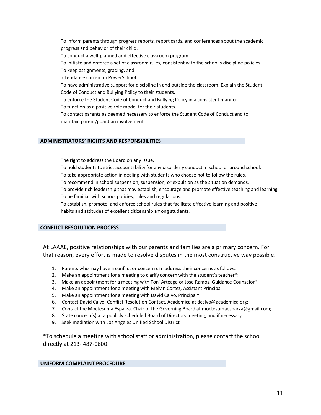- · To inform parents through progress reports, report cards, and conferences about the academic progress and behavior of their child.
- To conduct a well-planned and effective classroom program.
- To initiate and enforce a set of classroom rules, consistent with the school's discipline policies.
- To keep assignments, grading, and
- attendance current in PowerSchool.
- · To have administrative support for discipline in and outside the classroom. Explain the Student Code of Conduct and Bullying Policy to their students.
- · To enforce the Student Code of Conduct and Bullying Policy in a consistent manner.
- To function as a positive role model for their students.
- To contact parents as deemed necessary to enforce the Student Code of Conduct and to maintain parent/guardian involvement.

#### **ADMINISTRATORS' RIGHTS AND RESPONSIBILITIES**

- The right to address the Board on any issue.
- To hold students to strict accountability for any disorderly conduct in school or around school.
- To take appropriate action in dealing with students who choose not to follow the rules.
- · To recommend in school suspension, suspension, or expulsion as the situation demands.
- · To provide rich leadership that may establish, encourage and promote effective teaching and learning.
- To be familiar with school policies, rules and regulations.
- · To establish, promote, and enforce school rules that facilitate effective learning and positive habits and attitudes of excellent citizenship among students.

#### **CONFLICT RESOLUTION PROCESS**

At LAAAE, positive relationships with our parents and families are a primary concern. For that reason, every effort is made to resolve disputes in the most constructive way possible.

- 1. Parents who may have a conflict or concern can address their concerns as follows:
- 2. Make an appointment for a meeting to clarify concern with the student's teacher\*;
- 3. Make an appointment for a meeting with Toni Arteaga or Jose Ramos, Guidance Counselor\*;
- 4. Make an appointment for a meeting with Melvin Cortez, Assistant Principal
- 5. Make an appointment for a meeting with David Calvo, Principal\*;
- 6. Contact David Calvo, Conflict Resolution Contact, Academica at dcalvo@academica.org;
- 7. Contact the Moctesuma Esparza, Chair of the Governing Board at moctesumaesparza@gmail.com;
- 8. State concern(s) at a publicly scheduled Board of Directors meeting; and if necessary
- 9. Seek mediation with Los Angeles Unified School District.

\*To schedule a meeting with school staff or administration, please contact the school directly at 213- 487-0600.

#### **UNIFORM COMPLAINT PROCEDURE**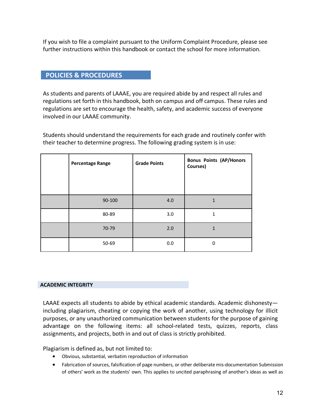If you wish to file a complaint pursuant to the Uniform Complaint Procedure, please see further instructions within this handbook or contact the school for more information.

# **POLICIES & PROCEDURES**

As students and parents of LAAAE, you are required abide by and respect all rules and regulations set forth in this handbook, both on campus and off campus. These rules and regulations are set to encourage the health, safety, and academic success of everyone involved in our LAAAE community.

Students should understand the requirements for each grade and routinely confer with their teacher to determine progress. The following grading system is in use:

| <b>Percentage Range</b> | <b>Grade Points</b> | <b>Bonus Points (AP/Honors</b><br>Courses) |
|-------------------------|---------------------|--------------------------------------------|
|                         |                     |                                            |
| 90-100                  | 4.0                 | $\mathbf{1}$                               |
| 80-89                   | 3.0                 | 1                                          |
| 70-79                   | 2.0                 | $\mathbf{1}$                               |
| 50-69                   | 0.0                 | 0                                          |

#### **ACADEMIC INTEGRITY**

LAAAE expects all students to abide by ethical academic standards. Academic dishonesty including plagiarism, cheating or copying the work of another, using technology for illicit purposes, or any unauthorized communication between students for the purpose of gaining advantage on the following items: all school-related tests, quizzes, reports, class assignments, and projects, both in and out of class is strictly prohibited.

Plagiarism is defined as, but not limited to:

- Obvious, substantial, verbatim reproduction of information
- Fabrication of sources, falsification of page numbers, or other deliberate mis-documentation Submission of others' work as the students' own. This applies to uncited paraphrasing of another's ideas as well as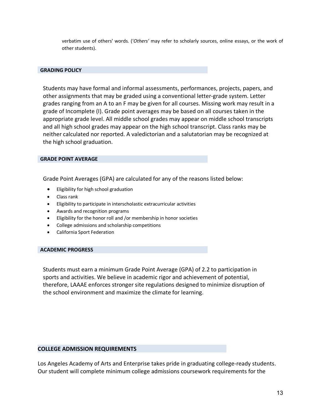verbatim use of others' words. ('*Others'* may refer to scholarly sources, online essays, or the work of other students).

#### **GRADING POLICY**

Students may have formal and informal assessments, performances, projects, papers, and other assignments that may be graded using a conventional letter-grade system. Letter grades ranging from an A to an F may be given for all courses. Missing work may result in a grade of Incomplete (I). Grade point averages may be based on all courses taken in the appropriate grade level. All middle school grades may appear on middle school transcripts and all high school grades may appear on the high school transcript. Class ranks may be neither calculated nor reported. A valedictorian and a salutatorian may be recognized at the high school graduation.

#### **GRADE POINT AVERAGE**

Grade Point Averages (GPA) are calculated for any of the reasons listed below:

- Eligibility for high school graduation
- Class rank
- Eligibility to participate in interscholastic extracurricular activities
- Awards and recognition programs
- Eligibility for the honor roll and /or membership in honor societies
- College admissions and scholarship competitions
- California Sport Federation

#### **ACADEMIC PROGRESS**

Students must earn a minimum Grade Point Average (GPA) of 2.2 to participation in sports and activities. We believe in academic rigor and achievement of potential, therefore, LAAAE enforces stronger site regulations designed to minimize disruption of the school environment and maximize the climate for learning.

#### **COLLEGE ADMISSION REQUIREMENTS**

Los Angeles Academy of Arts and Enterprise takes pride in graduating college-ready students. Our student will complete minimum college admissions coursework requirements for the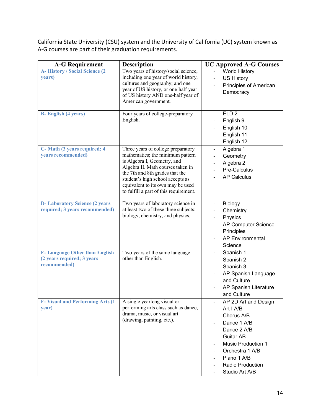California State University (CSU) system and the University of California (UC) system known as A-G courses are part of their graduation requirements.

| <b>A-G Requirement</b>                                                             | <b>Description</b>                                                                                                                                                                                                                                                                               | <b>UC Approved A-G Courses</b>                                                                                                                                                                         |
|------------------------------------------------------------------------------------|--------------------------------------------------------------------------------------------------------------------------------------------------------------------------------------------------------------------------------------------------------------------------------------------------|--------------------------------------------------------------------------------------------------------------------------------------------------------------------------------------------------------|
| A-History / Social Science (2<br>years)                                            | Two years of history/social science,<br>including one year of world history,<br>cultures and geography; and one<br>year of US history, or one-half year<br>of US history AND one-half year of<br>American government.                                                                            | <b>World History</b><br><b>US History</b><br>$\overline{\phantom{a}}$<br>Principles of American<br>Democracy                                                                                           |
| <b>B-</b> English (4 years)                                                        | Four years of college-preparatory<br>English.                                                                                                                                                                                                                                                    | ELD <sub>2</sub><br>$\overline{\phantom{a}}$<br>English 9<br>English 10<br>English 11<br>English 12                                                                                                    |
| C- Math (3 years required; 4<br>years recommended)                                 | Three years of college preparatory<br>mathematics; the minimum pattern<br>is Algebra I, Geometry, and<br>Algebra II. Math courses taken in<br>the 7th and 8th grades that the<br>student's high school accepts as<br>equivalent to its own may be used<br>to fulfill a part of this requirement. | Algebra 1<br>$\blacksquare$<br>Geometry<br>Algebra 2<br>Pre-Calculus<br><b>AP Calculus</b>                                                                                                             |
| <b>D-Laboratory Science (2 years</b><br>required; 3 years recommended)             | Two years of laboratory science in<br>at least two of these three subjects:<br>biology, chemistry, and physics.                                                                                                                                                                                  | <b>Biology</b><br>Chemistry<br>Physics<br>AP Computer Science<br>Principles<br><b>AP Environmental</b><br>Science                                                                                      |
| <b>E-Language Other than English</b><br>(2 years required; 3 years<br>recommended) | Two years of the same language<br>other than English.                                                                                                                                                                                                                                            | Spanish 1<br>$\overline{\phantom{a}}$<br>Spanish 2<br>Spanish 3<br>AP Spanish Language<br>and Culture<br>AP Spanish Literature<br>and Culture                                                          |
| <b>F- Visual and Performing Arts (1)</b><br>year)                                  | A single yearlong visual or<br>performing arts class such as dance,<br>drama, music, or visual art<br>(drawing, painting, etc.).                                                                                                                                                                 | AP 2D Art and Design<br>Art I A/B<br>Chorus A/B<br>Dance 1 A/B<br>Dance 2 A/B<br><b>Guitar AB</b><br><b>Music Production 1</b><br>Orchestra 1 A/B<br>Piano 1 A/B<br>Radio Production<br>Studio Art A/B |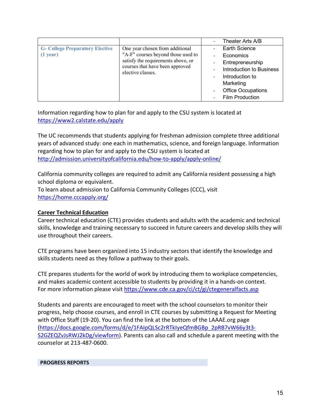|                                                    |                                                                                                                                                                     | Theater Arts A/B                                                                                                                                                         |
|----------------------------------------------------|---------------------------------------------------------------------------------------------------------------------------------------------------------------------|--------------------------------------------------------------------------------------------------------------------------------------------------------------------------|
| <b>G- College Preparatory Elective</b><br>(1 year) | One year chosen from additional<br>"A-F" courses beyond those used to<br>satisfy the requirements above, or<br>courses that have been approved<br>elective classes. | Earth Science<br>Economics<br>Entrepreneurship<br><b>Introduction to Business</b><br>Introduction to<br>Marketing<br><b>Office Occupations</b><br><b>Film Production</b> |

Information regarding how to plan for and apply to the CSU system is located at https://www2.calstate.edu/apply

The UC recommends that students applying for freshman admission complete three additional years of advanced study: one each in mathematics, science, and foreign language. Information regarding how to plan for and apply to the CSU system is located at http://admission.universityofcalifornia.edu/how-to-apply/apply-online/

California community colleges are required to admit any California resident possessing a high school diploma or equivalent. To learn about admission to California Community Colleges (CCC), visit https://home.cccapply.org/

# **Career Technical Education**

Career technical education (CTE) provides students and adults with the academic and technical skills, knowledge and training necessary to succeed in future careers and develop skills they will use throughout their careers.

CTE programs have been organized into 15 industry sectors that identify the knowledge and skills students need as they follow a pathway to their goals.

CTE prepares students for the world of work by introducing them to workplace competencies, and makes academic content accessible to students by providing it in a hands-on context. For more information please visit https://www.cde.ca.gov/ci/ct/gi/ctegeneralfacts.asp

Students and parents are encouraged to meet with the school counselors to monitor their progress, help choose courses, and enroll in CTE courses by submitting a Request for Meeting with Office Staff (19-20). You can find the link at the bottom of the LAAAE.org page (https://docs.google.com/forms/d/e/1FAIpQLSc2rRTkIyeQfmBGBp\_2pRB7vW66y3t3- S2GZEQZvJsRWJ2kDg/viewform). Parents can also call and schedule a parent meeting with the counselor at 213-487-0600.

#### **PROGRESS REPORTS**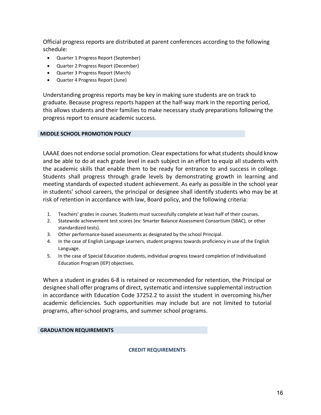Official progress reports are distributed at parent conferences according to the following schedule:

- Quarter 1 Progress Report (September)
- Quarter 2 Progress Report (December)
- Quarter 3 Progress Report (March)
- Quarter 4 Progress Report (June)

Understanding progress reports may be key in making sure students are on track to graduate. Because progress reports happen at the half-way mark in the reporting period, this allows students and their families to make necessary study preparations following the progress report to ensure academic success.

#### **MIDDLE SCHOOL PROMOTION POLICY**

LAAAE does not endorse social promotion. Clear expectations for what students should know and be able to do at each grade level in each subject in an effort to equip all students with the academic skills that enable them to be ready for entrance to and success in college. Students shall progress through grade levels by demonstrating growth in learning and meeting standards of expected student achievement. As early as possible in the school year in students' school careers, the principal or designee shall identify students who may be at risk of retention in accordance with law, Board policy, and the following criteria:

- 1. Teachers' grades in courses. Students must successfully complete at least half of their courses.
- 2. Statewide achievement test scores (ex: Smarter Balance Assessment Consortium (SBAC), or other standardized tests).
- 3. Other performance-based assessments as designated by the school Principal.
- 4. In the case of English Language Learners, student progress towards proficiency in use of the English Language.
- 5. In the case of Special Education students, individual progress toward completion of Individualized Education Program (IEP) objectives.

When a student in grades 6-8 is retained or recommended for retention, the Principal or designee shall offer programs of direct, systematic and intensive supplemental instruction in accordance with Education Code 37252.2 to assist the student in overcoming his/her academic deficiencies. Such opportunities may include but are not limited to tutorial programs, after-school programs, and summer school programs.

#### **GRADUATION REQUIREMENTS**

#### **CREDIT REQUIREMENTS**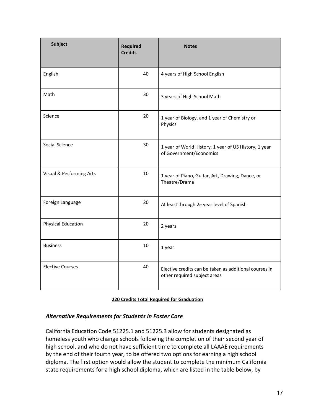| <b>Subject</b>            | <b>Required</b><br><b>Credits</b> | <b>Notes</b>                                                                           |
|---------------------------|-----------------------------------|----------------------------------------------------------------------------------------|
| English                   | 40                                | 4 years of High School English                                                         |
| Math                      | 30                                | 3 years of High School Math                                                            |
| Science                   | 20                                | 1 year of Biology, and 1 year of Chemistry or<br>Physics                               |
| Social Science            | 30                                | 1 year of World History, 1 year of US History, 1 year<br>of Government/Economics       |
| Visual & Performing Arts  | 10                                | 1 year of Piano, Guitar, Art, Drawing, Dance, or<br>Theatre/Drama                      |
| Foreign Language          | 20                                | At least through 2rd year level of Spanish                                             |
| <b>Physical Education</b> | 20                                | 2 years                                                                                |
| <b>Business</b>           | 10                                | 1 year                                                                                 |
| <b>Elective Courses</b>   | 40                                | Elective credits can be taken as additional courses in<br>other required subject areas |

| 220 Credits Total Required for Graduation |
|-------------------------------------------|
|-------------------------------------------|

#### *Alternative Requirements for Students in Foster Care*

California Education Code 51225.1 and 51225.3 allow for students designated as homeless youth who change schools following the completion of their second year of high school, and who do not have sufficient time to complete all LAAAE requirements by the end of their fourth year, to be offered two options for earning a high school diploma. The first option would allow the student to complete the minimum California state requirements for a high school diploma, which are listed in the table below, by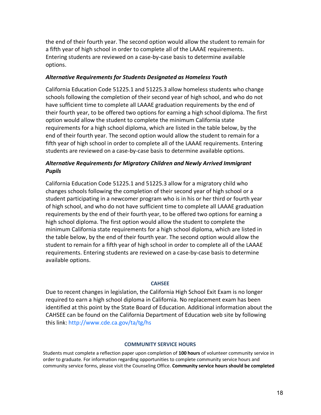the end of their fourth year. The second option would allow the student to remain for a fifth year of high school in order to complete all of the LAAAE requirements. Entering students are reviewed on a case-by-case basis to determine available options.

#### *Alternative Requirements for Students Designated as Homeless Youth*

California Education Code 51225.1 and 51225.3 allow homeless students who change schools following the completion of their second year of high school, and who do not have sufficient time to complete all LAAAE graduation requirements by the end of their fourth year, to be offered two options for earning a high school diploma. The first option would allow the student to complete the minimum California state requirements for a high school diploma, which are listed in the table below, by the end of their fourth year. The second option would allow the student to remain for a fifth year of high school in order to complete all of the LAAAE requirements. Entering students are reviewed on a case-by-case basis to determine available options.

# *Alternative Requirements for Migratory Children and Newly Arrived Immigrant Pupils*

California Education Code 51225.1 and 51225.3 allow for a migratory child who changes schools following the completion of their second year of high school or a student participating in a newcomer program who is in his or her third or fourth year of high school, and who do not have sufficient time to complete all LAAAE graduation requirements by the end of their fourth year, to be offered two options for earning a high school diploma. The first option would allow the student to complete the minimum California state requirements for a high school diploma, which are listed in the table below, by the end of their fourth year. The second option would allow the student to remain for a fifth year of high school in order to complete all of the LAAAE requirements. Entering students are reviewed on a case-by-case basis to determine available options.

#### **CAHSEE**

Due to recent changes in legislation, the California High School Exit Exam is no longer required to earn a high school diploma in California. No replacement exam has been identified at this point by the State Board of Education. Additional information about the CAHSEE can be found on the California Department of Education web site by following this link: http://www.cde.ca.gov/ta/tg/hs

#### **COMMUNITY SERVICE HOURS**

Students must complete a reflection paper upon completion of **100 hours** of volunteer community service in order to graduate. For information regarding opportunities to complete community service hours and community service forms, please visit the Counseling Office. **Community service hours should be completed**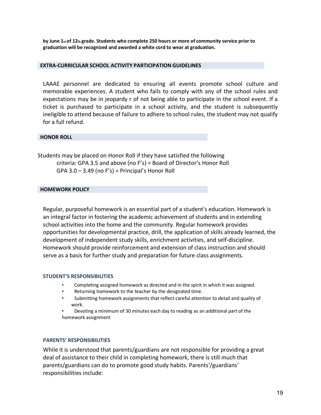**by June 1st of 12th grade. Students who complete 250 hours or more of community service prior to graduation will be recognized and awarded a white cord to wear at graduation.**

#### **EXTRA-CURRICULAR SCHOOL ACTIVITY PARTICIPATION GUIDELINES**

LAAAE personnel are dedicated to ensuring all events promote school culture and memorable experiences. A student who fails to comply with any of the school rules and expectations may be in jeopardy r of not being able to participate in the school event. If a ticket is purchased to participate in a school activity, and the student is subsequently ineligible to attend because of failure to adhere to school rules, the student may not qualify for a full refund.

#### **HONOR ROLL**

Students may be placed on Honor Roll if they have satisfied the following criteria: GPA 3.5 and above (no F's) = Board of Director's Honor Roll  $GPA$  3.0 – 3.49 (no F's) = Principal's Honor Roll

#### **HOMEWORK POLICY**

Regular, purposeful homework is an essential part of a student's education. Homework is an integral factor in fostering the academic achievement of students and in extending school activities into the home and the community. Regular homework provides opportunities for developmental practice, drill, the application of skills already learned, the development of independent study skills, enrichment activities, and self-discipline. Homework should provide reinforcement and extension of class instruction and should serve as a basis for further study and preparation for future class assignments.

#### **STUDENT'S RESPONSIBILITIES**

- Completing assigned homework as directed and in the spirit in which it was assigned.
- Returning homework to the teacher by the designated time.
- Submitting homework assignments that reflect careful attention to detail and quality of work.

• Devoting a minimum of 30 minutes each day to reading as an additional part of the homework assignment

#### **PARENTS' RESPONSIBILITIES**

While it is understood that parents/guardians are not responsible for providing a great deal of assistance to their child in completing homework, there is still much that parents/guardians can do to promote good study habits. Parents'/guardians' responsibilities include: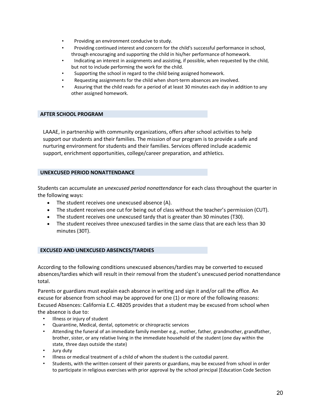- Providing an environment conducive to study.
- Providing continued interest and concern for the child's successful performance in school, through encouraging and supporting the child in his/her performance of homework.
- Indicating an interest in assignments and assisting, if possible, when requested by the child, but not to include performing the work for the child.
- Supporting the school in regard to the child being assigned homework.
- Requesting assignments for the child when short-term absences are involved.
- Assuring that the child reads for a period of at least 30 minutes each day in addition to any other assigned homework.

#### **AFTER SCHOOL PROGRAM**

LAAAE, in partnership with community organizations, offers after school activities to help support our students and their families. The mission of our program is to provide a safe and nurturing environment for students and their families. Services offered include academic support, enrichment opportunities, college/career preparation, and athletics.

#### **UNEXCUSED PERIOD NONATTENDANCE**

Students can accumulate an *unexcused period nonattendance* for each class throughout the quarter in the following ways:

- The student receives one unexcused absence (A).
- The student receives one cut for being out of class without the teacher's permission (CUT).
- The student receives one unexcused tardy that is greater than 30 minutes (T30).
- The student receives three unexcused tardies in the same class that are each less than 30 minutes (30T).

#### **EXCUSED AND UNEXCUSED ABSENCES/TARDIES**

According to the following conditions unexcused absences/tardies may be converted to excused absences/tardies which will result in their removal from the student's unexcused period nonattendance total.

Parents or guardians must explain each absence in writing and sign it and/or call the office. An excuse for absence from school may be approved for one (1) or more of the following reasons: Excused Absences: California E.C. 48205 provides that a student may be excused from school when the absence is due to:

- Illness or injury of student
- Quarantine, Medical, dental, optometric or chiropractic services
- Attending the funeral of an immediate family member e.g., mother, father, grandmother, grandfather, brother, sister, or any relative living in the immediate household of the student (one day within the state, three days outside the state)
- Jury duty
- Illness or medical treatment of a child of whom the student is the custodial parent.
- Students, with the written consent of their parents or guardians, may be excused from school in order to participate in religious exercises with prior approval by the school principal [Education Code Section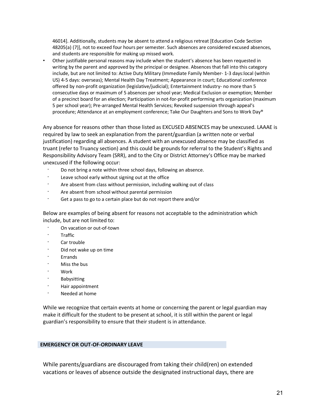46014]. Additionally, students may be absent to attend a religious retreat [Education Code Section 48205(a) (7)], not to exceed four hours per semester. Such absences are considered excused absences, and students are responsible for making up missed work.

• Other justifiable personal reasons may include when the student's absence has been requested in writing by the parent and approved by the principal or designee. Absences that fall into this category include, but are not limited to: Active Duty Military (Immediate Family Member- 1-3 days:local (within US) 4-5 days: overseas); Mental Health Day Treatment; Appearance in court; Educational conference offered by non-profit organization (legislative/judicial); Entertainment Industry- no more than 5 consecutive days or maximum of 5 absences per school year; Medical Exclusion or exemption; Member of a precinct board for an election; Participation in not-for-profit performing arts organization (maximum 5 per school year); Pre-arranged Mental Health Services; Revoked suspension through appeal's procedure; Attendance at an employment conference; Take Our Daughters and Sons to Work Day®

Any absence for reasons other than those listed as EXCUSED ABSENCES may be unexcused. LAAAE is required by law to seek an explanation from the parent/guardian (a written note or verbal justification) regarding all absences. A student with an unexcused absence may be classified as truant (refer to Truancy section) and this could be grounds for referral to the Student's Rights and Responsibility Advisory Team (SRR), and to the City or District Attorney's Office may be marked unexcused if the following occur:

- · Do not bring a note within three school days, following an absence.
- Leave school early without signing out at the office
- Are absent from class without permission, including walking out of class
- Are absent from school without parental permission
- Get a pass to go to a certain place but do not report there and/or

Below are examples of being absent for reasons not acceptable to the administration which include, but are not limited to:

- · On vacation or out-of-town
- · Traffic
- Car trouble
- Did not wake up on time
- **Errands**
- · Miss the bus
- · Work
- **Babysitting**
- · Hair appointment
- Needed at home

While we recognize that certain events at home or concerning the parent or legal guardian may make it difficult for the student to be present at school, it is still within the parent or legal guardian's responsibility to ensure that their student is in attendance.

#### **EMERGENCY OR OUT-OF-ORDINARY LEAVE**

While parents/guardians are discouraged from taking their child(ren) on extended vacations or leaves of absence outside the designated instructional days, there are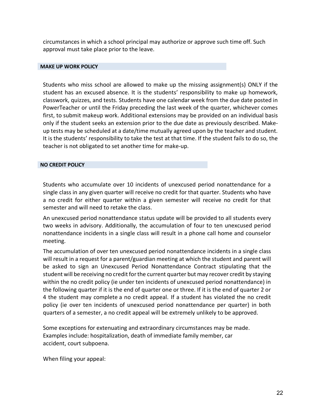circumstances in which a school principal may authorize or approve such time off. Such approval must take place prior to the leave.

#### **MAKE UP WORK POLICY**

Students who miss school are allowed to make up the missing assignment(s) ONLY if the student has an excused absence. It is the students' responsibility to make up homework, classwork, quizzes, and tests. Students have one calendar week from the due date posted in PowerTeacher or until the Friday preceding the last week of the quarter, whichever comes first, to submit makeup work. Additional extensions may be provided on an individual basis only if the student seeks an extension prior to the due date as previously described. Makeup tests may be scheduled at a date/time mutually agreed upon by the teacher and student. It is the students' responsibility to take the test at that time. If the student fails to do so, the teacher is not obligated to set another time for make-up.

#### **NO CREDIT POLICY**

Students who accumulate over 10 incidents of unexcused period nonattendance for a single class in any given quarter will receive no credit for that quarter. Students who have a no credit for either quarter within a given semester will receive no credit for that semester and will need to retake the class.

An unexcused period nonattendance status update will be provided to all students every two weeks in advisory. Additionally, the accumulation of four to ten unexcused period nonattendance incidents in a single class will result in a phone call home and counselor meeting.

The accumulation of over ten unexcused period nonattendance incidents in a single class will result in a request for a parent/guardian meeting at which the student and parent will be asked to sign an Unexcused Period Nonattendance Contract stipulating that the student will be receiving no credit for the current quarter but may recover credit by staying within the no credit policy (ie under ten incidents of unexcused period nonattendance) in the following quarter if it is the end of quarter one or three. If it is the end of quarter 2 or 4 the student may complete a no credit appeal. If a student has violated the no credit policy (ie over ten incidents of unexcused period nonattendance per quarter) in both quarters of a semester, a no credit appeal will be extremely unlikely to be approved.

Some exceptions for extenuating and extraordinary circumstances may be made. Examples include: hospitalization, death of immediate family member, car accident, court subpoena.

When filing your appeal: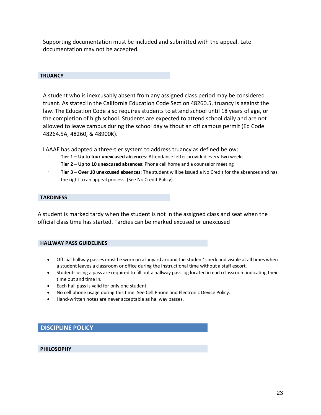Supporting documentation must be included and submitted with the appeal. Late documentation may not be accepted.

#### **TRUANCY**

A student who is inexcusably absent from any assigned class period may be considered truant. As stated in the California Education Code Section 48260.5, truancy is against the law. The Education Code also requires students to attend school until 18 years of age, or the completion of high school. Students are expected to attend school daily and are not allowed to leave campus during the school day without an off campus permit (Ed Code 48264.5A, 48260, & 48900K).

LAAAE has adopted a three-tier system to address truancy as defined below:

- Tier 1 Up to four unexcused absences: Attendance letter provided every two weeks
- · **Tier 2 – Up to 10 unexcused absences**: Phone call home and a counselor meeting
- · **Tier 3 – Over 10 unexcused absences**: The student will be issued a No Credit for the absences and has the right to an appeal process. (See No Credit Policy).

#### **TARDINESS**

A student is marked tardy when the student is not in the assigned class and seat when the official class time has started. Tardies can be marked excused or unexcused

#### **HALLWAY PASS GUIDELINES**

- Official hallway passes must be worn on a lanyard around the student's neck and visible at all times when a student leaves a classroom or office during the instructional time without a staff escort.
- Students using a pass are required to fill out a hallway pass log located in each classroom indicating their time out and time in.
- Each hall pass is valid for only one student.
- No cell phone usage during this time. See Cell Phone and Electronic Device Policy.
- Hand-written notes are never acceptable as hallway passes.

#### **DISCIPLINE POLICY**

 **PHILOSOPHY**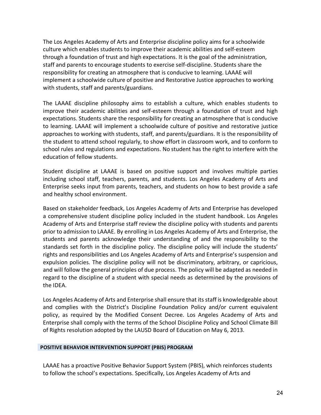The Los Angeles Academy of Arts and Enterprise discipline policy aims for a schoolwide culture which enables students to improve their academic abilities and self-esteem through a foundation of trust and high expectations. It is the goal of the administration, staff and parents to encourage students to exercise self-discipline. Students share the responsibility for creating an atmosphere that is conducive to learning. LAAAE will implement a schoolwide culture of positive and Restorative Justice approaches to working with students, staff and parents/guardians.

The LAAAE discipline philosophy aims to establish a culture, which enables students to improve their academic abilities and self-esteem through a foundation of trust and high expectations. Students share the responsibility for creating an atmosphere that is conducive to learning. LAAAE will implement a schoolwide culture of positive and restorative justice approaches to working with students, staff, and parents/guardians. It is the responsibility of the student to attend school regularly, to show effort in classroom work, and to conform to school rules and regulations and expectations. No student has the right to interfere with the education of fellow students.

Student discipline at LAAAE is based on positive support and involves multiple parties including school staff, teachers, parents, and students. Los Angeles Academy of Arts and Enterprise seeks input from parents, teachers, and students on how to best provide a safe and healthy school environment.

Based on stakeholder feedback, Los Angeles Academy of Arts and Enterprise has developed a comprehensive student discipline policy included in the student handbook. Los Angeles Academy of Arts and Enterprise staff review the discipline policy with students and parents prior to admission to LAAAE. By enrolling in Los Angeles Academy of Arts and Enterprise, the students and parents acknowledge their understanding of and the responsibility to the standards set forth in the discipline policy. The discipline policy will include the students' rights and responsibilities and Los Angeles Academy of Arts and Enterprise's suspension and expulsion policies. The discipline policy will not be discriminatory, arbitrary, or capricious, and will follow the general principles of due process. The policy will be adapted as needed in regard to the discipline of a student with special needs as determined by the provisions of the IDEA.

Los Angeles Academy of Arts and Enterprise shall ensure that its staff is knowledgeable about and complies with the District's Discipline Foundation Policy and/or current equivalent policy, as required by the Modified Consent Decree. Los Angeles Academy of Arts and Enterprise shall comply with the terms of the School Discipline Policy and School Climate Bill of Rights resolution adopted by the LAUSD Board of Education on May 6, 2013.

#### **POSITIVE BEHAVIOR INTERVENTION SUPPORT (PBIS) PROGRAM**

LAAAE has a proactive Positive Behavior Support System (PBIS), which reinforces students to follow the school's expectations. Specifically, Los Angeles Academy of Arts and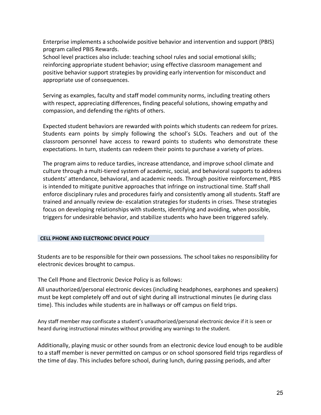Enterprise implements a schoolwide positive behavior and intervention and support (PBIS) program called PBIS Rewards.

School level practices also include: teaching school rules and social emotional skills; reinforcing appropriate student behavior; using effective classroom management and positive behavior support strategies by providing early intervention for misconduct and appropriate use of consequences.

Serving as examples, faculty and staff model community norms, including treating others with respect, appreciating differences, finding peaceful solutions, showing empathy and compassion, and defending the rights of others.

Expected student behaviors are rewarded with points which students can redeem for prizes. Students earn points by simply following the school's SLOs. Teachers and out of the classroom personnel have access to reward points to students who demonstrate these expectations. In turn, students can redeem their points to purchase a variety of prizes.

The program aims to reduce tardies, increase attendance, and improve school climate and culture through a multi-tiered system of academic, social, and behavioral supports to address students' attendance, behavioral, and academic needs. Through positive reinforcement, PBIS is intended to mitigate punitive approaches that infringe on instructional time. Staff shall enforce disciplinary rules and procedures fairly and consistently among all students. Staff are trained and annually review de- escalation strategies for students in crises. These strategies focus on developing relationships with students, identifying and avoiding, when possible, triggers for undesirable behavior, and stabilize students who have been triggered safely.

#### **CELL PHONE AND ELECTRONIC DEVICE POLICY**

Students are to be responsible for their own possessions. The school takes no responsibility for electronic devices brought to campus.

The Cell Phone and Electronic Device Policy is as follows:

All unauthorized/personal electronic devices (including headphones, earphones and speakers) must be kept completely off and out of sight during all instructional minutes (ie during class time). This includes while students are in hallways or off campus on field trips.

Any staff member may confiscate a student's unauthorized/personal electronic device if it is seen or heard during instructional minutes without providing any warnings to the student.

Additionally, playing music or other sounds from an electronic device loud enough to be audible to a staff member is never permitted on campus or on school sponsored field trips regardless of the time of day. This includes before school, during lunch, during passing periods, and after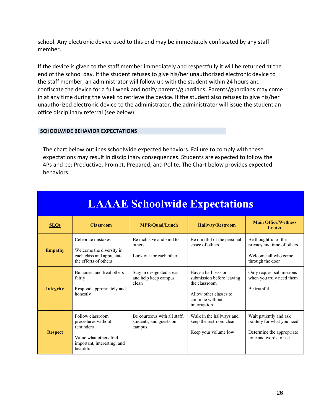school. Any electronic device used to this end may be immediately confiscated by any staff member.

If the device is given to the staff member immediately and respectfully it will be returned at the end of the school day. If the student refuses to give his/her unauthorized electronic device to the staff member, an administrator will follow up with the student within 24 hours and confiscate the device for a full week and notify parents/guardians. Parents/guardians may come in at any time during the week to retrieve the device. If the student also refuses to give his/her unauthorized electronic device to the administrator, the administrator will issue the student an office disciplinary referral (see below).

#### **SCHOOLWIDE BEHAVIOR EXPECTATIONS**

The chart below outlines schoolwide expected behaviors. Failure to comply with these expectations may result in disciplinary consequences. Students are expected to follow the 4Ps and be: Productive, Prompt, Prepared, and Polite. The Chart below provides expected behaviors.

| <b>LAAAE Schoolwide Expectations</b> |                                                                                                                           |                                                                   |                                                                                                                                 |                                                                                                            |  |  |  |  |  |  |  |
|--------------------------------------|---------------------------------------------------------------------------------------------------------------------------|-------------------------------------------------------------------|---------------------------------------------------------------------------------------------------------------------------------|------------------------------------------------------------------------------------------------------------|--|--|--|--|--|--|--|
| <b>SLOs</b>                          | <b>Classroom</b>                                                                                                          | <b>MPR/Quad/Lunch</b>                                             | <b>Hallway/Restroom</b>                                                                                                         | <b>Main Office/Wellness</b><br><b>Center</b>                                                               |  |  |  |  |  |  |  |
| <b>Empathy</b>                       | Celebrate mistakes<br>Welcome the diversity in<br>each class and appreciate<br>the efforts of others                      | Be inclusive and kind to<br>others<br>Look out for each other     | Be mindful of the personal<br>space of others                                                                                   | Be thoughtful of the<br>privacy and time of others<br>Welcome all who come<br>through the door             |  |  |  |  |  |  |  |
| <b>Integrity</b>                     | Be honest and treat others<br>fairly<br>Respond appropriately and<br>honestly                                             | Stay in designated areas<br>and help keep campus<br>clean         | Have a hall pass or<br>submission before leaving<br>the classroom<br>Allow other classes to<br>continue without<br>interruption | Only request submissions<br>when you truly need them<br>Be truthful                                        |  |  |  |  |  |  |  |
| <b>Respect</b>                       | Follow classroom<br>procedures without<br>reminders<br>Value what others find<br>important, interesting, and<br>heautiful | Be courteous with all staff.<br>students, and guests on<br>campus | Walk in the hallways and<br>keep the restroom clean<br>Keep your volume low                                                     | Wait patiently and ask<br>politely for what you need<br>Determine the appropriate<br>tone and words to use |  |  |  |  |  |  |  |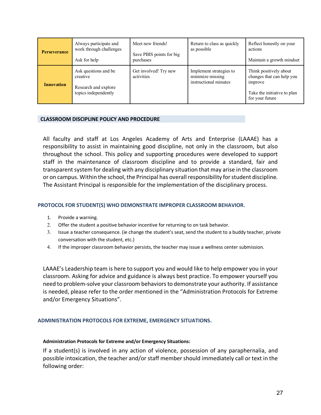| <b>Perseverance</b> | Always participate and<br>work through challenges<br>Ask for help                | Meet new friends!<br>Save PBIS points for big<br>purchases | Return to class as quickly<br>as possible                            | Reflect honestly on your<br>actions<br>Maintain a growth mindset                                                 |
|---------------------|----------------------------------------------------------------------------------|------------------------------------------------------------|----------------------------------------------------------------------|------------------------------------------------------------------------------------------------------------------|
| <b>Innovation</b>   | Ask questions and be<br>creative<br>Research and explore<br>topics independently | Get involved! Try new<br>activities                        | Implement strategies to<br>minimize missing<br>instructional minutes | Think positively about<br>changes that can help you<br>improve<br>Take the initiative to plan<br>for your future |

#### **CLASSROOM DISCIPLINE POLICY AND PROCEDURE**

All faculty and staff at Los Angeles Academy of Arts and Enterprise (LAAAE) has a responsibility to assist in maintaining good discipline, not only in the classroom, but also throughout the school. This policy and supporting procedures were developed to support staff in the maintenance of classroom discipline and to provide a standard, fair and transparent system for dealing with any disciplinary situation that may arise in the classroom or on campus. Within the school, the Principal has overall responsibility for student discipline. The Assistant Principal is responsible for the implementation of the disciplinary process.

#### **PROTOCOL FOR STUDENT(S) WHO DEMONSTRATE IMPROPER CLASSROOM BEHAVIOR.**

- 1. Provide a warning.
- 2. Offer the student a positive behavior incentive for returning to on task behavior.
- 3. Issue a teacher consequence. (ie change the student's seat, send the student to a buddy teacher, private conversation with the student, etc.)
- 4. If the improper classroom behavior persists, the teacher may issue a wellness center submission.

LAAAE's Leadership team is here to support you and would like to help empower you in your classroom. Asking for advice and guidance is always best practice. To empower yourself you need to problem-solve your classroom behaviors to demonstrate your authority. If assistance is needed, please refer to the order mentioned in the "Administration Protocols for Extreme and/or Emergency Situations".

#### **ADMINISTRATION PROTOCOLS FOR EXTREME, EMERGENCY SITUATIONS.**

#### **Administration Protocols for Extreme and/or Emergency Situations:**

If a student(s) is involved in any action of violence, possession of any paraphernalia, and possible intoxication, the teacher and/or staff member should immediately call or text in the following order: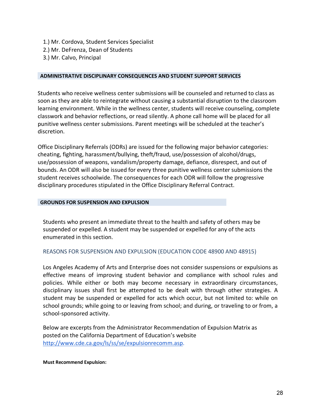- 1.) Mr. Cordova, Student Services Specialist
- 2.) Mr. DeFrenza, Dean of Students
- 3.) Mr. Calvo, Principal

#### **ADMINISTRATIVE DISCIPLINARY CONSEQUENCES AND STUDENT SUPPORT SERVICES**

Students who receive wellness center submissions will be counseled and returned to class as soon as they are able to reintegrate without causing a substantial disruption to the classroom learning environment. While in the wellness center, students will receive counseling, complete classwork and behavior reflections, or read silently. A phone call home will be placed for all punitive wellness center submissions. Parent meetings will be scheduled at the teacher's discretion.

Office Disciplinary Referrals (ODRs) are issued for the following major behavior categories: cheating, fighting, harassment/bullying, theft/fraud, use/possession of alcohol/drugs, use/possession of weapons, vandalism/property damage, defiance, disrespect, and out of bounds. An ODR will also be issued for every three punitive wellness center submissions the student receives schoolwide. The consequences for each ODR will follow the progressive disciplinary procedures stipulated in the Office Disciplinary Referral Contract.

#### **GROUNDS FOR SUSPENSION AND EXPULSION**

Students who present an immediate threat to the health and safety of others may be suspended or expelled. A student may be suspended or expelled for any of the acts enumerated in this section.

#### REASONS FOR SUSPENSION AND EXPULSION (EDUCATION CODE 48900 AND 48915)

Los Angeles Academy of Arts and Enterprise does not consider suspensions or expulsions as effective means of improving student behavior and compliance with school rules and policies. While either or both may become necessary in extraordinary circumstances, disciplinary issues shall first be attempted to be dealt with through other strategies. A student may be suspended or expelled for acts which occur, but not limited to: while on school grounds; while going to or leaving from school; and during, or traveling to or from, a school-sponsored activity.

Below are excerpts from the Administrator Recommendation of Expulsion Matrix as posted on the California Department of Education's website http://www.cde.ca.gov/ls/ss/se/expulsionrecomm.asp.

#### **Must Recommend Expulsion:**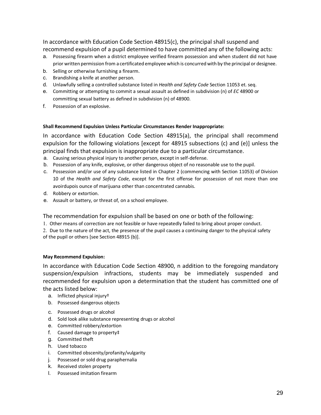In accordance with Education Code Section 48915(c), the principal shall suspend and recommend expulsion of a pupil determined to have committed any of the following acts:

- a. Possessing firearm when a district employee verified firearm possession and when student did not have prior written permission from a certificated employee which is concurred with by the principal or designee.
- b. Selling or otherwise furnishing a firearm.
- c. Brandishing a knife at another person.
- d. Unlawfully selling a controlled substance listed in *Health and Safety Code* Section 11053 et. seq.
- e. Committing or attempting to commit a sexual assault as defined in subdivision (n) of *EC* 48900 or committing sexual battery as defined in subdivision (n) of 48900.
- f. Possession of an explosive.

#### **Shall Recommend Expulsion Unless Particular Circumstances Render Inappropriate:**

In accordance with Education Code Section 48915(a), the principal shall recommend expulsion for the following violations [except for 48915 subsections (c) and (e)] unless the principal finds that expulsion is inappropriate due to a particular circumstance.

- a. Causing serious physical injury to another person, except in self-defense.
- b. Possession of any knife, explosive, or other dangerous object of no reasonable use to the pupil.
- c. Possession and/or use of any substance listed in Chapter 2 (commencing with Section 11053) of Division 10 of the *Health and Safety Code*, except for the first offense for possession of not more than one avoirdupois ounce of marijuana other than concentrated cannabis.
- d. Robbery or extortion.
- e. Assault or battery, or threat of, on a school employee.

The recommendation for expulsion shall be based on one or both of the following:

1. Other means of correction are not feasible or have repeatedly failed to bring about proper conduct.

2. Due to the nature of the act, the presence of the pupil causes a continuing danger to the physical safety of the pupil or others [see Section 48915 (b)].

#### **May Recommend Expulsion:**

In accordance with Education Code Section 48900, n addition to the foregoing mandatory suspension/expulsion infractions, students may be immediately suspended and recommended for expulsion upon a determination that the student has committed one of the acts listed below:

- a. Inflicted physical injury†
- b. Possessed dangerous objects
- c. Possessed drugs or alcohol
- d. Sold look alike substance representing drugs or alcohol
- e. Committed robbery/extortion
- f. Caused damage to property‡
- g. Committed theft
- h. Used tobacco
- i. Committed obscenity/profanity/vulgarity
- j. Possessed or sold drug paraphernalia
- k. Received stolen property
- l. Possessed imitation firearm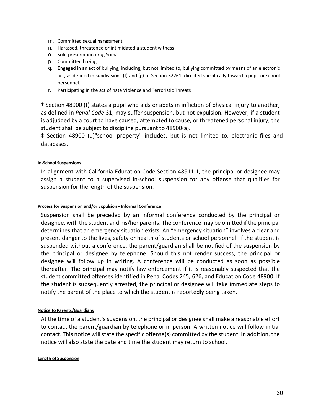- m. Committed sexual harassment
- n. Harassed, threatened or intimidated a student witness
- o. Sold prescription drug Soma
- p. Committed hazing
- q. Engaged in an act of bullying, including, but not limited to, bullying committed by means of an electronic act, as defined in subdivisions (f) and (g) of Section 32261, directed specifically toward a pupil or school personnel.
- r. Participating in the act of hate Violence and Terroristic Threats

† Section 48900 (t) states a pupil who aids or abets in infliction of physical injury to another, as defined in *Penal Code* 31, may suffer suspension, but not expulsion. However, if a student is adjudged by a court to have caused, attempted to cause, or threatened personal injury, the student shall be subject to discipline pursuant to 48900(a).

‡ Section 48900 (u)"school property" includes, but is not limited to, electronic files and databases.

#### **In-School Suspensions**

In alignment with California Education Code Section 48911.1, the principal or designee may assign a student to a supervised in-school suspension for any offense that qualifies for suspension for the length of the suspension.

#### **Process for Suspension and/or Expulsion - Informal Conference**

Suspension shall be preceded by an informal conference conducted by the principal or designee, with the student and his/her parents. The conference may be omitted if the principal determines that an emergency situation exists. An "emergency situation" involves a clear and present danger to the lives, safety or health of students or school personnel. If the student is suspended without a conference, the parent/guardian shall be notified of the suspension by the principal or designee by telephone. Should this not render success, the principal or designee will follow up in writing. A conference will be conducted as soon as possible thereafter. The principal may notify law enforcement if it is reasonably suspected that the student committed offenses identified in Penal Codes 245, 626, and Education Code 48900. If the student is subsequently arrested, the principal or designee will take immediate steps to notify the parent of the place to which the student is reportedly being taken.

#### **Notice to Parents/Guardians**

At the time of a student's suspension, the principal or designee shall make a reasonable effort to contact the parent/guardian by telephone or in person. A written notice will follow initial contact. This notice will state the specific offense(s) committed by the student. In addition, the notice will also state the date and time the student may return to school.

#### **Length of Suspension**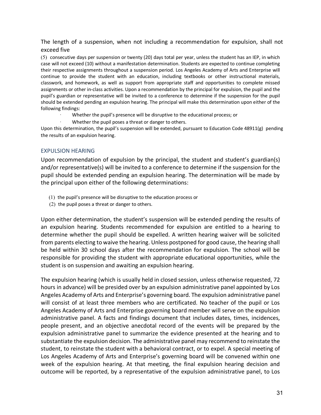The length of a suspension, when not including a recommendation for expulsion, shall not exceed five

(5) consecutive days per suspension or twenty (20) days total per year, unless the student has an IEP, in which case will not exceed (10) without a manifestation determination. Students are expected to continue completing their respective assignments throughout a suspension period. Los Angeles Academy of Arts and Enterprise will continue to provide the student with an education, including textbooks or other instructional materials, classwork, and homework, as well as support from appropriate staff and opportunities to complete missed assignments or other in-class activities. Upon a recommendation by the principal for expulsion, the pupil and the pupil's guardian or representative will be invited to a conference to determine if the suspension for the pupil should be extended pending an expulsion hearing. The principal will make this determination upon either of the following findings:

- Whether the pupil's presence will be disruptive to the educational process; or
- Whether the pupil poses a threat or danger to others.

Upon this determination, the pupil's suspension will be extended, pursuant to Education Code 48911(g) pending the results of an expulsion hearing.

### EXPULSION HEARING

Upon recommendation of expulsion by the principal, the student and student's guardian(s) and/or representative(s) will be invited to a conference to determine if the suspension for the pupil should be extended pending an expulsion hearing. The determination will be made by the principal upon either of the following determinations:

- (1) the pupil's presence will be disruptive to the education process or
- (2) the pupil poses a threat or danger to others.

Upon either determination, the student's suspension will be extended pending the results of an expulsion hearing. Students recommended for expulsion are entitled to a hearing to determine whether the pupil should be expelled. A written hearing waiver will be solicited from parents electing to waive the hearing. Unless postponed for good cause, the hearing shall be held within 30 school days after the recommendation for expulsion. The school will be responsible for providing the student with appropriate educational opportunities, while the student is on suspension and awaiting an expulsion hearing.

The expulsion hearing (which is usually held in closed session, unless otherwise requested, 72 hours in advance) will be presided over by an expulsion administrative panel appointed by Los Angeles Academy of Arts and Enterprise's governing board. The expulsion administrative panel will consist of at least three members who are certificated. No teacher of the pupil or Los Angeles Academy of Arts and Enterprise governing board member will serve on the expulsion administrative panel. A facts and findings document that includes dates, times, incidences, people present, and an objective anecdotal record of the events will be prepared by the expulsion administrative panel to summarize the evidence presented at the hearing and to substantiate the expulsion decision. The administrative panel may recommend to reinstate the student, to reinstate the student with a behavioral contract, or to expel. A special meeting of Los Angeles Academy of Arts and Enterprise's governing board will be convened within one week of the expulsion hearing. At that meeting, the final expulsion hearing decision and outcome will be reported, by a representative of the expulsion administrative panel, to Los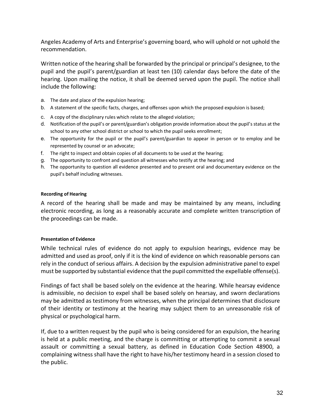Angeles Academy of Arts and Enterprise's governing board, who will uphold or not uphold the recommendation.

Written notice of the hearing shall be forwarded by the principal or principal's designee, to the pupil and the pupil's parent/guardian at least ten (10) calendar days before the date of the hearing. Upon mailing the notice, it shall be deemed served upon the pupil. The notice shall include the following:

- a. The date and place of the expulsion hearing;
- b. A statement of the specific facts, charges, and offenses upon which the proposed expulsion is based;
- c. A copy of the disciplinary rules which relate to the alleged violation;
- d. Notification of the pupil's or parent/guardian's obligation provide information about the pupil's status at the school to any other school district or school to which the pupil seeks enrollment;
- e. The opportunity for the pupil or the pupil's parent/guardian to appear in person or to employ and be represented by counsel or an advocate;
- f. The right to inspect and obtain copies of all documents to be used at the hearing;
- g. The opportunity to confront and question all witnesses who testify at the hearing; and
- h. The opportunity to question all evidence presented and to present oral and documentary evidence on the pupil's behalf including witnesses.

#### **Recording of Hearing**

A record of the hearing shall be made and may be maintained by any means, including electronic recording, as long as a reasonably accurate and complete written transcription of the proceedings can be made.

#### **Presentation of Evidence**

While technical rules of evidence do not apply to expulsion hearings, evidence may be admitted and used as proof, only if it is the kind of evidence on which reasonable persons can rely in the conduct of serious affairs. A decision by the expulsion administrative panel to expel must be supported by substantial evidence that the pupil committed the expellable offense(s).

Findings of fact shall be based solely on the evidence at the hearing. While hearsay evidence is admissible, no decision to expel shall be based solely on hearsay, and sworn declarations may be admitted as testimony from witnesses, when the principal determines that disclosure of their identity or testimony at the hearing may subject them to an unreasonable risk of physical or psychological harm.

If, due to a written request by the pupil who is being considered for an expulsion, the hearing is held at a public meeting, and the charge is committing or attempting to commit a sexual assault or committing a sexual battery, as defined in Education Code Section 48900, a complaining witness shall have the right to have his/her testimony heard in a session closed to the public.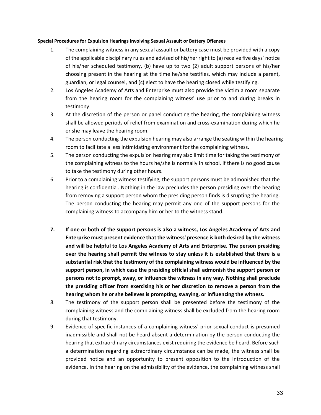#### **Special Procedures for Expulsion Hearings Involving Sexual Assault or Battery Offenses**

- 1. The complaining witness in any sexual assault or battery case must be provided with a copy of the applicable disciplinary rules and advised of his/her right to (a) receive five days' notice of his/her scheduled testimony, (b) have up to two (2) adult support persons of his/her choosing present in the hearing at the time he/she testifies, which may include a parent, guardian, or legal counsel, and (c) elect to have the hearing closed while testifying.
- 2. Los Angeles Academy of Arts and Enterprise must also provide the victim a room separate from the hearing room for the complaining witness' use prior to and during breaks in testimony.
- 3. At the discretion of the person or panel conducting the hearing, the complaining witness shall be allowed periods of relief from examination and cross-examination during which he or she may leave the hearing room.
- 4. The person conducting the expulsion hearing may also arrange the seating within the hearing room to facilitate a less intimidating environment for the complaining witness.
- 5. The person conducting the expulsion hearing may also limit time for taking the testimony of the complaining witness to the hours he/she is normally in school, if there is no good cause to take the testimony during other hours.
- 6. Prior to a complaining witness testifying, the support persons must be admonished that the hearing is confidential. Nothing in the law precludes the person presiding over the hearing from removing a support person whom the presiding person finds is disrupting the hearing. The person conducting the hearing may permit any one of the support persons for the complaining witness to accompany him or her to the witness stand.
- **7. If one or both of the support persons is also a witness, Los Angeles Academy of Arts and Enterprise must present evidence that the witness' presence is both desired by the witness and will be helpful to Los Angeles Academy of Arts and Enterprise. The person presiding over the hearing shall permit the witness to stay unless it is established that there is a substantial risk that the testimony of the complaining witness would be influenced by the support person, in which case the presiding official shall admonish the support person or persons not to prompt, sway, or influence the witness in any way. Nothing shall preclude the presiding officer from exercising his or her discretion to remove a person from the hearing whom he or she believes is prompting, swaying, or influencing the witness.**
- 8. The testimony of the support person shall be presented before the testimony of the complaining witness and the complaining witness shall be excluded from the hearing room during that testimony.
- 9. Evidence of specific instances of a complaining witness' prior sexual conduct is presumed inadmissible and shall not be heard absent a determination by the person conducting the hearing that extraordinary circumstances exist requiring the evidence be heard. Before such a determination regarding extraordinary circumstance can be made, the witness shall be provided notice and an opportunity to present opposition to the introduction of the evidence. In the hearing on the admissibility of the evidence, the complaining witness shall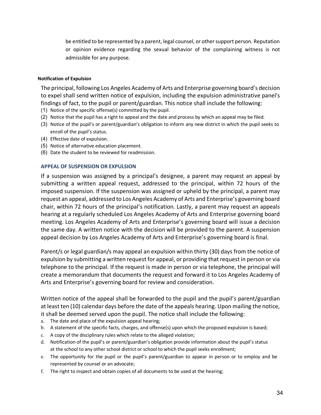be entitled to be represented by a parent, legal counsel, or other support person. Reputation or opinion evidence regarding the sexual behavior of the complaining witness is not admissible for any purpose.

#### **Notification of Expulsion**

The principal, following Los Angeles Academy of Arts and Enterprise governing board's decision to expel shall send written notice of expulsion, including the expulsion administrative panel's findings of fact, to the pupil or parent/guardian. This notice shall include the following:

- (1) Notice of the specific offense(s) committed by the pupil.
- (2) Notice that the pupil has a right to appeal and the date and process by which an appeal may be filed.
- (3) Notice of the pupil's or parent/guardian's obligation to inform any new district in which the pupil seeks to enroll of the pupil's status.
- (4) Effective date of expulsion.
- (5) Notice of alternative education placement.
- (6) Date the student to be reviewed for readmission.

#### **APPEAL OF SUSPENSION OR EXPULSION**

If a suspension was assigned by a principal's designee, a parent may request an appeal by submitting a written appeal request, addressed to the principal, within 72 hours of the imposed suspension. If the suspension was assigned or upheld by the principal, a parent may request an appeal, addressed to Los Angeles Academy of Arts and Enterprise's governing board chair, within 72 hours of the principal's notification. Lastly, a parent may request an appeals hearing at a regularly scheduled Los Angeles Academy of Arts and Enterprise governing board meeting. Los Angeles Academy of Arts and Enterprise's governing board will issue a decision the same day. A written notice with the decision will be provided to the parent. A suspension appeal decision by Los Angeles Academy of Arts and Enterprise's governing board is final.

Parent/s or legal guardian/s may appeal an expulsion within thirty (30) days from the notice of expulsion by submitting a written request for appeal, or providing that request in person or via telephone to the principal. If the request is made in person or via telephone, the principal will create a memorandum that documents the request and forward it to Los Angeles Academy of Arts and Enterprise's governing board for review and consideration.

Written notice of the appeal shall be forwarded to the pupil and the pupil's parent/guardian at least ten (10) calendar days before the date of the appeals hearing. Upon mailing the notice, it shall be deemed served upon the pupil. The notice shall include the following:

- a. The date and place of the expulsion appeal hearing;
- b. A statement of the specific facts, charges, and offense(s) upon which the proposed expulsion is based;
- c. A copy of the disciplinary rules which relate to the alleged violation;
- d. Notification of the pupil's or parent/guardian's obligation provide information about the pupil's status at the school to any other school district or school to which the pupil seeks enrollment;
- e. The opportunity for the pupil or the pupil's parent/guardian to appear in person or to employ and be represented by counsel or an advocate;
- f. The right to inspect and obtain copies of all documents to be used at the hearing;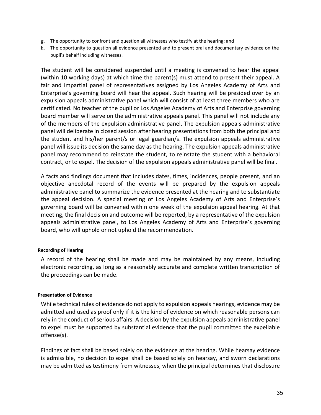- g. The opportunity to confront and question all witnesses who testify at the hearing; and
- h. The opportunity to question all evidence presented and to present oral and documentary evidence on the pupil's behalf including witnesses.

The student will be considered suspended until a meeting is convened to hear the appeal (within 10 working days) at which time the parent(s) must attend to present their appeal. A fair and impartial panel of representatives assigned by Los Angeles Academy of Arts and Enterprise's governing board will hear the appeal. Such hearing will be presided over by an expulsion appeals administrative panel which will consist of at least three members who are certificated. No teacher of the pupil or Los Angeles Academy of Arts and Enterprise governing board member will serve on the administrative appeals panel. This panel will not include any of the members of the expulsion administrative panel. The expulsion appeals administrative panel will deliberate in closed session after hearing presentations from both the principal and the student and his/her parent/s or legal guardian/s. The expulsion appeals administrative panel will issue its decision the same day as the hearing. The expulsion appeals administrative panel may recommend to reinstate the student, to reinstate the student with a behavioral contract, or to expel. The decision of the expulsion appeals administrative panel will be final.

A facts and findings document that includes dates, times, incidences, people present, and an objective anecdotal record of the events will be prepared by the expulsion appeals administrative panel to summarize the evidence presented at the hearing and to substantiate the appeal decision. A special meeting of Los Angeles Academy of Arts and Enterprise's governing board will be convened within one week of the expulsion appeal hearing. At that meeting, the final decision and outcome will be reported, by a representative of the expulsion appeals administrative panel, to Los Angeles Academy of Arts and Enterprise's governing board, who will uphold or not uphold the recommendation.

#### **Recording of Hearing**

A record of the hearing shall be made and may be maintained by any means, including electronic recording, as long as a reasonably accurate and complete written transcription of the proceedings can be made.

#### **Presentation of Evidence**

While technical rules of evidence do not apply to expulsion appeals hearings, evidence may be admitted and used as proof only if it is the kind of evidence on which reasonable persons can rely in the conduct of serious affairs. A decision by the expulsion appeals administrative panel to expel must be supported by substantial evidence that the pupil committed the expellable offense(s).

Findings of fact shall be based solely on the evidence at the hearing. While hearsay evidence is admissible, no decision to expel shall be based solely on hearsay, and sworn declarations may be admitted as testimony from witnesses, when the principal determines that disclosure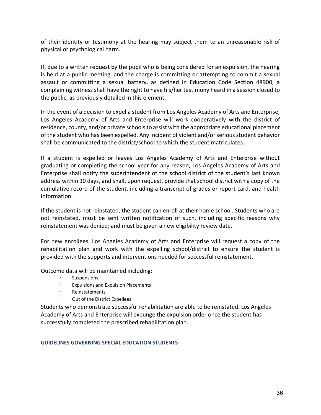of their identity or testimony at the hearing may subject them to an unreasonable risk of physical or psychological harm.

If, due to a written request by the pupil who is being considered for an expulsion, the hearing is held at a public meeting, and the charge is committing or attempting to commit a sexual assault or committing a sexual battery, as defined in Education Code Section 48900, a complaining witness shall have the right to have his/her testimony heard in a session closed to the public, as previously detailed in this element.

In the event of a decision to expel a student from Los Angeles Academy of Arts and Enterprise, Los Angeles Academy of Arts and Enterprise will work cooperatively with the district of residence, county, and/or private schools to assist with the appropriate educational placement of the student who has been expelled. Any incident of violent and/or serious student behavior shall be communicated to the district/school to which the student matriculates.

If a student is expelled or leaves Los Angeles Academy of Arts and Enterprise without graduating or completing the school year for any reason, Los Angeles Academy of Arts and Enterprise shall notify the superintendent of the school district of the student's last known address within 30 days, and shall, upon request, provide that school district with a copy of the cumulative record of the student, including a transcript of grades or report card, and health information.

If the student is not reinstated, the student can enroll at their home school. Students who are not reinstated, must be sent written notification of such, including specific reasons why reinstatement was denied; and must be given a new eligibility review date.

For new enrollees, Los Angeles Academy of Arts and Enterprise will request a copy of the rehabilitation plan and work with the expelling school/district to ensure the student is provided with the supports and interventions needed for successful reinstatement.

Outcome data will be maintained including:

- **Suspensions**
- · Expulsions and Expulsion Placements
- · Reinstatements
- Out of the District Expellees

Students who demonstrate successful rehabilitation are able to be reinstated. Los Angeles Academy of Arts and Enterprise will expunge the expulsion order once the student has successfully completed the prescribed rehabilitation plan.

#### **GUIDELINES GOVERNING SPECIAL EDUCATION STUDENTS**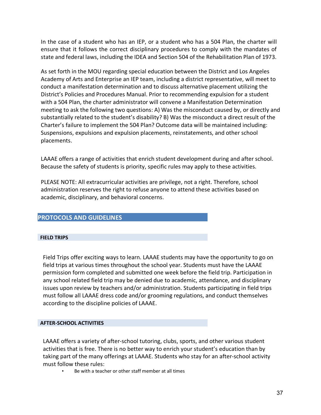In the case of a student who has an IEP, or a student who has a 504 Plan, the charter will ensure that it follows the correct disciplinary procedures to comply with the mandates of state and federal laws, including the IDEA and Section 504 of the Rehabilitation Plan of 1973.

As set forth in the MOU regarding special education between the District and Los Angeles Academy of Arts and Enterprise an IEP team, including a district representative, will meet to conduct a manifestation determination and to discuss alternative placement utilizing the District's Policies and Procedures Manual. Prior to recommending expulsion for a student with a 504 Plan, the charter administrator will convene a Manifestation Determination meeting to ask the following two questions: A) Was the misconduct caused by, or directly and substantially related to the student's disability? B) Was the misconduct a direct result of the Charter's failure to implement the 504 Plan? Outcome data will be maintained including: Suspensions, expulsions and expulsion placements, reinstatements, and other school placements.

LAAAE offers a range of activities that enrich student development during and after school. Because the safety of students is priority, specific rules may apply to these activities.

PLEASE NOTE: All extracurricular activities are privilege, not a right. Therefore, school administration reserves the right to refuse anyone to attend these activities based on academic, disciplinary, and behavioral concerns.

# **PROTOCOLS AND GUIDELINES**

#### **FIELD TRIPS**

Field Trips offer exciting ways to learn. LAAAE students may have the opportunity to go on field trips at various times throughout the school year. Students must have the LAAAE permission form completed and submitted one week before the field trip. Participation in any school related field trip may be denied due to academic, attendance, and disciplinary issues upon review by teachers and/or administration. Students participating in field trips must follow all LAAAE dress code and/or grooming regulations, and conduct themselves according to the discipline policies of LAAAE.

#### **AFTER-SCHOOL ACTIVITIES**

LAAAE offers a variety of after-school tutoring, clubs, sports, and other various student activities that is free. There is no better way to enrich your student's education than by taking part of the many offerings at LAAAE. Students who stay for an after-school activity must follow these rules:

Be with a teacher or other staff member at all times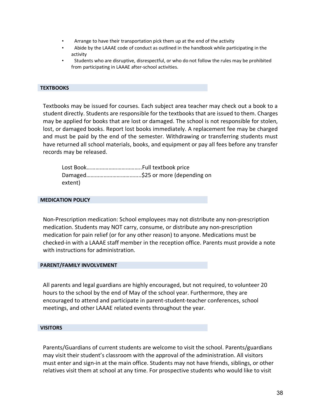- Arrange to have their transportation pick them up at the end of the activity
- Abide by the LAAAE code of conduct as outlined in the handbook while participating in the activity
- Students who are disruptive, disrespectful, or who do not follow the rules may be prohibited from participating in LAAAE after-school activities.

#### **TEXTBOOKS**

Textbooks may be issued for courses. Each subject area teacher may check out a book to a student directly. Students are responsible for the textbooks that are issued to them. Charges may be applied for books that are lost or damaged. The school is not responsible for stolen, lost, or damaged books. Report lost books immediately. A replacement fee may be charged and must be paid by the end of the semester. Withdrawing or transferring students must have returned all school materials, books, and equipment or pay all fees before any transfer records may be released.

| extent) |  |
|---------|--|

#### **MEDICATION POLICY**

Non-Prescription medication: School employees may not distribute any non-prescription medication. Students may NOT carry, consume, or distribute any non-prescription medication for pain relief (or for any other reason) to anyone. Medications must be checked-in with a LAAAE staff member in the reception office. Parents must provide a note with instructions for administration.

#### **PARENT/FAMILY INVOLVEMENT**

All parents and legal guardians are highly encouraged, but not required, to volunteer 20 hours to the school by the end of May of the school year. Furthermore, they are encouraged to attend and participate in parent-student-teacher conferences, school meetings, and other LAAAE related events throughout the year.

#### **VISITORS**

Parents/Guardians of current students are welcome to visit the school. Parents/guardians may visit their student's classroom with the approval of the administration. All visitors must enter and sign-in at the main office. Students may not have friends, siblings, or other relatives visit them at school at any time. For prospective students who would like to visit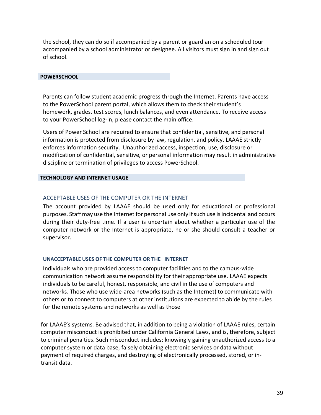the school, they can do so if accompanied by a parent or guardian on a scheduled tour accompanied by a school administrator or designee. All visitors must sign in and sign out of school.

#### **POWERSCHOOL**

Parents can follow student academic progress through the Internet. Parents have access to the PowerSchool parent portal, which allows them to check their student's homework, grades, test scores, lunch balances, and even attendance. To receive access to your PowerSchool log-in, please contact the main office.

Users of Power School are required to ensure that confidential, sensitive, and personal information is protected from disclosure by law, regulation, and policy. LAAAE strictly enforces information security. Unauthorized access, inspection, use, disclosure or modification of confidential, sensitive, or personal information may result in administrative discipline or termination of privileges to access PowerSchool.

#### **TECHNOLOGY AND INTERNET USAGE**

### ACCEPTABLE USES OF THE COMPUTER OR THE INTERNET

The account provided by LAAAE should be used only for educational or professional purposes. Staff may use the Internet for personal use only if such use is incidental and occurs during their duty-free time. If a user is uncertain about whether a particular use of the computer network or the Internet is appropriate, he or she should consult a teacher or supervisor.

#### **UNACCEPTABLE USES OF THE COMPUTER OR THE INTERNET**

Individuals who are provided access to computer facilities and to the campus-wide communication network assume responsibility for their appropriate use. LAAAE expects individuals to be careful, honest, responsible, and civil in the use of computers and networks. Those who use wide-area networks (such as the Internet) to communicate with others or to connect to computers at other institutions are expected to abide by the rules for the remote systems and networks as well as those

for LAAAE's systems. Be advised that, in addition to being a violation of LAAAE rules, certain computer misconduct is prohibited under California General Laws, and is, therefore, subject to criminal penalties. Such misconduct includes: knowingly gaining unauthorized access to a computer system or data base, falsely obtaining electronic services or data without payment of required charges, and destroying of electronically processed, stored, or intransit data.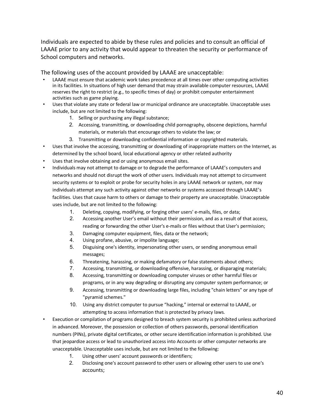Individuals are expected to abide by these rules and policies and to consult an official of LAAAE prior to any activity that would appear to threaten the security or performance of School computers and networks.

The following uses of the account provided by LAAAE are unacceptable:

- LAAAE must ensure that academic work takes precedence at all times over other computing activities in its facilities. In situations of high user demand that may strain available computer resources, LAAAE reserves the right to restrict (e.g., to specific times of day) or prohibit computer entertainment activities such as game playing.
- Uses that violate any state or federal law or municipal ordinance are unacceptable. Unacceptable uses include, but are not limited to the following:
	- 1. Selling or purchasing any illegal substance;
	- 2. Accessing, transmitting, or downloading child pornography, obscene depictions, harmful materials, or materials that encourage others to violate the law; or
	- 3. Transmitting or downloading confidential information or copyrighted materials.
- Uses that involve the accessing, transmitting or downloading of inappropriate matters on the Internet, as determined by the school board, local educational agency or other related authority
- Uses that involve obtaining and or using anonymous email sites.
- Individuals may not attempt to damage or to degrade the performance of LAAAE's computers and networks and should not disrupt the work of other users. Individuals may not attempt to circumvent security systems or to exploit or probe for security holes in any LAAAE network or system, nor may individuals attempt any such activity against other networks or systems accessed through LAAAE's facilities. Uses that cause harm to others or damage to their property are unacceptable. Unacceptable uses include, but are not limited to the following:
	- 1. Deleting, copying, modifying, or forging other users' e-mails, files, or data;
	- 2. Accessing another User's email without their permission, and as a result of that access, reading or forwarding the other User's e-mails or files without that User's permission;
	- 3. Damaging computer equipment, files, data or the network;
	- 4. Using profane, abusive, or impolite language;
	- 5. Disguising one's identity, impersonating other users, or sending anonymous email messages;
	- 6. Threatening, harassing, or making defamatory or false statements about others;
	- 7. Accessing, transmitting, or downloading offensive, harassing, or disparaging materials;
	- 8. Accessing, transmitting or downloading computer viruses or other harmful files or programs, or in any way degrading or disrupting any computer system performance; or
	- 9. Accessing, transmitting or downloading large files, including "chain letters" or any type of "pyramid schemes."
	- 10. Using any district computer to pursue "hacking," internal or external to LAAAE, or attempting to access information that is protected by privacy laws.
- Execution or compilation of programs designed to breach system security is prohibited unless authorized in advanced. Moreover, the possession or collection of others passwords, personal identification numbers (PINs), private digital certificates, or other secure identification information is prohibited. Use that jeopardize access or lead to unauthorized access into Accounts or other computer networks are unacceptable. Unacceptable uses include, but are not limited to the following:
	- 1. Using other users' account passwords or identifiers;
	- 2. Disclosing one's account password to other users or allowing other users to use one's accounts;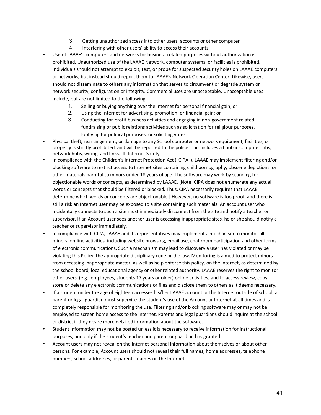- 3. Getting unauthorized access into other users' accounts or other computer
- 4. Interfering with other users' ability to access their accounts.
- Use of LAAAE's computers and networks for business-related purposes without authorization is prohibited. Unauthorized use of the LAAAE Network, computer systems, or facilities is prohibited. Individuals should not attempt to exploit, test, or probe for suspected security holes on LAAAE computers or networks, but instead should report them to LAAAE's Network Operation Center. Likewise, users should not disseminate to others any information that serves to circumvent or degrade system or network security, configuration or integrity. Commercial uses are unacceptable. Unacceptable uses include, but are not limited to the following:
	- 1. Selling or buying anything over the Internet for personal financial gain; or
	- 2. Using the Internet for advertising, promotion, or financial gain; or
	- 3. Conducting for-profit business activities and engaging in non-government related fundraising or public relations activities such as solicitation for religious purposes, lobbying for political purposes, or soliciting votes.
- Physical theft, rearrangement, or damage to any School computer or network equipment, facilities, or property is strictly prohibited, and will be reported to the police. This includes all public computer labs, network hubs, wiring, and links. III. Internet Safety
- In compliance with the Children's Internet Protection Act ("CIPA"), LAAAE may implement filtering and/or blocking software to restrict access to Internet sites containing child pornography, obscene depictions, or other materials harmful to minors under 18 years of age. The software may work by scanning for objectionable words or concepts, as determined by LAAAE. [Note: CIPA does not enumerate any actual words or concepts that should be filtered or blocked. Thus, CIPA necessarily requires that LAAAE determine which words or concepts are objectionable.] However, no software is foolproof, and there is still a risk an Internet user may be exposed to a site containing such materials. An account user who incidentally connects to such a site must immediately disconnect from the site and notify a teacher or supervisor. If an Account user sees another user is accessing inappropriate sites, he or she should notify a teacher or supervisor immediately.
- In compliance with CIPA, LAAAE and its representatives may implement a mechanism to monitor all minors' on-line activities, including website browsing, email use, chat room participation and other forms of electronic communications. Such a mechanism may lead to discovery a user has violated or may be violating this Policy, the appropriate disciplinary code or the law. Monitoring is aimed to protect minors from accessing inappropriate matter, as well as help enforce this policy, on the Internet, as determined by the school board, local educational agency or other related authority. LAAAE reserves the right to monitor other users' (e.g., employees, students 17 years or older) online activities, and to access review, copy, store or delete any electronic communications or files and disclose them to others as it deems necessary.
- If a student under the age of eighteen accesses his/her LAAAE account or the Internet outside of school, a parent or legal guardian must supervise the student's use of the Account or Internet at all times and is completely responsible for monitoring the use. Filtering and/or blocking software may or may not be employed to screen home access to the Internet. Parents and legal guardians should inquire at the school or district if they desire more detailed information about the software.
- Student information may not be posted unless it is necessary to receive information for instructional purposes, and only if the student's teacher and parent or guardian has granted.
- Account users may not reveal on the Internet personal information about themselves or about other persons. For example, Account users should not reveal their full names, home addresses, telephone numbers, school addresses, or parents' names on the Internet.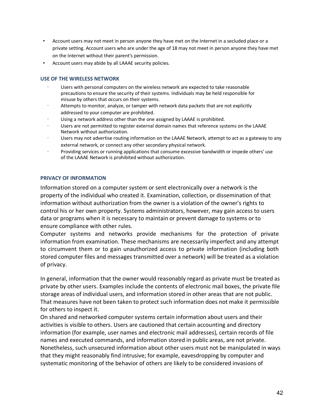- Account users may not meet in person anyone they have met on the Internet in a secluded place or a private setting. Account users who are under the age of 18 may not meet in person anyone they have met on the Internet without their parent's permission.
- Account users may abide by all LAAAE security policies.

#### **USE OF THE WIRELESS NETWORK**

- Users with personal computers on the wireless network are expected to take reasonable precautions to ensure the security of their systems. Individuals may be held responsible for misuse by others that occurs on their systems.
- Attempts to monitor, analyze, or tamper with network data packets that are not explicitly addressed to your computer are prohibited.
- Using a network address other than the one assigned by LAAAE is prohibited.
- Users are not permitted to register external domain names that reference systems on the LAAAE Network without authorization.
- Users may not advertise routing information on the LAAAE Network, attempt to act as a gateway to any external network, or connect any other secondary physical network.
- Providing services or running applications that consume excessive bandwidth or impede others' use of the LAAAE Network is prohibited without authorization.

#### **PRIVACY OF INFORMATION**

Information stored on a computer system or sent electronically over a network is the property of the individual who created it. Examination, collection, or dissemination of that information without authorization from the owner is a violation of the owner's rights to control his or her own property. Systems administrators, however, may gain access to users data or programs when it is necessary to maintain or prevent damage to systems or to ensure compliance with other rules.

Computer systems and networks provide mechanisms for the protection of private information from examination. These mechanisms are necessarily imperfect and any attempt to circumvent them or to gain unauthorized access to private information (including both stored computer files and messages transmitted over a network) will be treated as a violation of privacy.

In general, information that the owner would reasonably regard as private must be treated as private by other users. Examples include the contents of electronic mail boxes, the private file storage areas of individual users, and information stored in other areas that are not public. That measures have not been taken to protect such information does not make it permissible for others to inspect it.

On shared and networked computer systems certain information about users and their activities is visible to others. Users are cautioned that certain accounting and directory information (for example, user names and electronic mail addresses), certain records of file names and executed commands, and information stored in public areas, are not private. Nonetheless, such unsecured information about other users must not be manipulated in ways that they might reasonably find intrusive; for example, eavesdropping by computer and systematic monitoring of the behavior of others are likely to be considered invasions of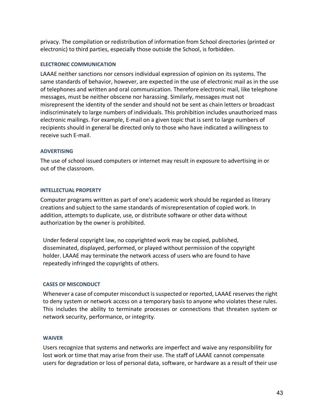privacy. The compilation or redistribution of information from School directories (printed or electronic) to third parties, especially those outside the School, is forbidden.

#### **ELECTRONIC COMMUNICATION**

LAAAE neither sanctions nor censors individual expression of opinion on its systems. The same standards of behavior, however, are expected in the use of electronic mail as in the use of telephones and written and oral communication. Therefore electronic mail, like telephone messages, must be neither obscene nor harassing. Similarly, messages must not misrepresent the identity of the sender and should not be sent as chain letters or broadcast indiscriminately to large numbers of individuals. This prohibition includes unauthorized mass electronic mailings. For example, E-mail on a given topic that is sent to large numbers of recipients should in general be directed only to those who have indicated a willingness to receive such E-mail.

### **ADVERTISING**

The use of school issued computers or internet may result in exposure to advertising in or out of the classroom.

### **INTELLECTUAL PROPERTY**

Computer programs written as part of one's academic work should be regarded as literary creations and subject to the same standards of misrepresentation of copied work. In addition, attempts to duplicate, use, or distribute software or other data without authorization by the owner is prohibited.

Under federal copyright law, no copyrighted work may be copied, published, disseminated, displayed, performed, or played without permission of the copyright holder. LAAAE may terminate the network access of users who are found to have repeatedly infringed the copyrights of others.

# **CASES OF MISCONDUCT**

Whenever a case of computer misconduct is suspected or reported, LAAAE reserves the right to deny system or network access on a temporary basis to anyone who violates these rules. This includes the ability to terminate processes or connections that threaten system or network security, performance, or integrity.

#### **WAIVER**

Users recognize that systems and networks are imperfect and waive any responsibility for lost work or time that may arise from their use. The staff of LAAAE cannot compensate users for degradation or loss of personal data, software, or hardware as a result of their use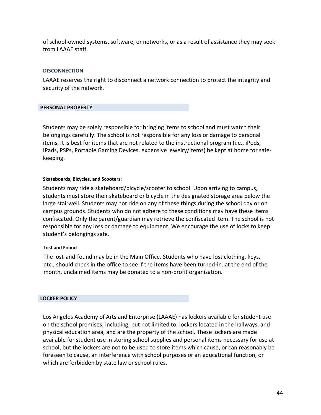of school-owned systems, software, or networks, or as a result of assistance they may seek from LAAAE staff.

#### **DISCONNECTION**

LAAAE reserves the right to disconnect a network connection to protect the integrity and security of the network.

#### **PERSONAL PROPERTY**

Students may be solely responsible for bringing items to school and must watch their belongings carefully. The school is not responsible for any loss or damage to personal items. It is best for items that are not related to the instructional program (i.e., iPods, IPads, PSPs, Portable Gaming Devices, expensive jewelry/items) be kept at home for safekeeping.

#### **Skateboards, Bicycles, and Scooters:**

Students may ride a skateboard/bicycle/scooter to school. Upon arriving to campus, students must store their skateboard or bicycle in the designated storage area below the large stairwell. Students may not ride on any of these things during the school day or on campus grounds. Students who do not adhere to these conditions may have these items confiscated. Only the parent/guardian may retrieve the confiscated item. The school is not responsible for any loss or damage to equipment. We encourage the use of locks to keep student's belongings safe.

#### **Lost and Found**

The lost-and-found may be in the Main Office. Students who have lost clothing, keys, etc., should check in the office to see if the items have been turned-in. at the end of the month, unclaimed items may be donated to a non-profit organization.

#### **LOCKER POLICY**

Los Angeles Academy of Arts and Enterprise (LAAAE) has lockers available for student use on the school premises, including, but not limited to, lockers located in the hallways, and physical education area, and are the property of the school. These lockers are made available for student use in storing school supplies and personal items necessary for use at school, but the lockers are not to be used to store items which cause, or can reasonably be foreseen to cause, an interference with school purposes or an educational function, or which are forbidden by state law or school rules.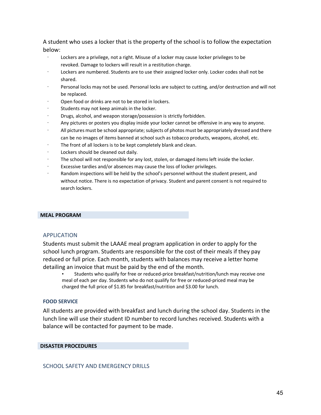A student who uses a locker that is the property of the school is to follow the expectation below:

- Lockers are a privilege, not a right. Misuse of a locker may cause locker privileges to be revoked. Damage to lockers will result in a restitution charge.
- Lockers are numbered. Students are to use their assigned locker only. Locker codes shall not be shared.
- Personal locks may not be used. Personal locks are subject to cutting, and/or destruction and will not be replaced.
- Open food or drinks are not to be stored in lockers.
- Students may not keep animals in the locker.
- · Drugs, alcohol, and weapon storage/possession is strictly forbidden.
- · Any pictures or posters you display inside your locker cannot be offensive in any way to anyone.
- · All pictures must be school appropriate; subjects of photos must be appropriately dressed and there can be no images of items banned at school such as tobacco products, weapons, alcohol, etc.
- The front of all lockers is to be kept completely blank and clean.
- Lockers should be cleaned out daily.
- The school will not responsible for any lost, stolen, or damaged items left inside the locker.
- Excessive tardies and/or absences may cause the loss of locker privileges.
- Random inspections will be held by the school's personnel without the student present, and without notice. There is no expectation of privacy. Student and parent consent is not required to search lockers.

#### **MEAL PROGRAM**

#### APPLICATION

Students must submit the LAAAE meal program application in order to apply for the school lunch program. Students are responsible for the cost of their meals if they pay reduced or full price. Each month, students with balances may receive a letter home detailing an invoice that must be paid by the end of the month.

• Students who qualify for free or reduced-price breakfast/nutrition/lunch may receive one meal of each per day. Students who do not qualify for free or reduced-priced meal may be charged the full price of \$1.85 for breakfast/nutrition and \$3.00 for lunch.

#### **FOOD SERVICE**

All students are provided with breakfast and lunch during the school day. Students in the lunch line will use their student ID number to record lunches received. Students with a balance will be contacted for payment to be made.

#### **DISASTER PROCEDURES**

SCHOOL SAFETY AND EMERGENCY DRILLS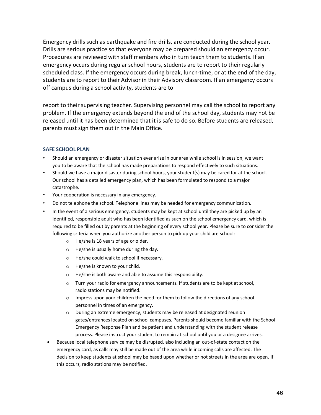Emergency drills such as earthquake and fire drills, are conducted during the school year. Drills are serious practice so that everyone may be prepared should an emergency occur. Procedures are reviewed with staff members who in turn teach them to students. If an emergency occurs during regular school hours, students are to report to their regularly scheduled class. If the emergency occurs during break, lunch-time, or at the end of the day, students are to report to their Advisor in their Advisory classroom. If an emergency occurs off campus during a school activity, students are to

report to their supervising teacher. Supervising personnel may call the school to report any problem. If the emergency extends beyond the end of the school day, students may not be released until it has been determined that it is safe to do so. Before students are released, parents must sign them out in the Main Office.

#### **SAFE SCHOOL PLAN**

- Should an emergency or disaster situation ever arise in our area while school is in session, we want you to be aware that the school has made preparations to respond effectively to such situations.
- Should we have a major disaster during school hours, your student(s) may be cared for at the school. Our school has a detailed emergency plan, which has been formulated to respond to a major catastrophe.
- Your cooperation is necessary in any emergency.
- Do not telephone the school. Telephone lines may be needed for emergency communication.
- In the event of a serious emergency, students may be kept at school until they are picked up by an identified, responsible adult who has been identified as such on the school emergency card, which is required to be filled out by parents at the beginning of every school year. Please be sure to consider the following criteria when you authorize another person to pick up your child are school:
	- o He/she is 18 years of age or older.
	- o He/she is usually home during the day.
	- o He/she could walk to school if necessary.
	- o He/she is known to your child.
	- o He/she is both aware and able to assume this responsibility.
	- o Turn your radio for emergency announcements. If students are to be kept at school, radio stations may be notified.
	- $\circ$  Impress upon your children the need for them to follow the directions of any school personnel in times of an emergency.
	- $\circ$  During an extreme emergency, students may be released at designated reunion gates/entrances located on school campuses. Parents should become familiar with the School Emergency Response Plan and be patient and understanding with the student release process. Please instruct your student to remain at school until you or a designee arrives.
	- Because local telephone service may be disrupted, also including an out-of-state contact on the emergency card, as calls may still be made out of the area while incoming calls are affected. The decision to keep students at school may be based upon whether or not streets in the area are open. If this occurs, radio stations may be notified.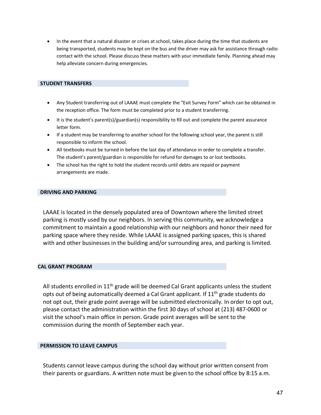• In the event that a natural disaster or crises at school, takes place during the time that students are being transported, students may be kept on the bus and the driver may ask for assistance through radio contact with the school. Please discuss these matters with your immediate family. Planning ahead may help alleviate concern during emergencies.

#### **STUDENT TRANSFERS**

- Any Student transferring out of LAAAE must complete the "Exit Survey Form" which can be obtained in the reception office. The form must be completed prior to a student transferring.
- It is the student's parent(s)/guardian(s) responsibility to fill out and complete the parent assurance letter form.
- If a student may be transferring to another school for the following school year, the parent is still responsible to inform the school.
- All textbooks must be turned in before the last day of attendance in order to complete a transfer. The student's parent/guardian is responsible for refund for damages to or lost textbooks.
- The school has the right to hold the student records until debts are repaid or payment arrangements are made.

#### **DRIVING AND PARKING**

LAAAE is located in the densely populated area of Downtown where the limited street parking is mostly used by our neighbors. In serving this community, we acknowledge a commitment to maintain a good relationship with our neighbors and honor their need for parking space where they reside. While LAAAE is assigned parking spaces, this is shared with and other businesses in the building and/or surrounding area, and parking is limited.

#### **CAL GRANT PROGRAM**

All students enrolled in  $11<sup>th</sup>$  grade will be deemed Cal Grant applicants unless the student opts out of being automatically deemed a Cal Grant applicant. If  $11<sup>th</sup>$  grade students do not opt out, their grade point average will be submitted electronically. In order to opt out, please contact the administration within the first 30 days of school at (213) 487-0600 or visit the school's main office in person. Grade point averages will be sent to the commission during the month of September each year.

#### **PERMISSION TO LEAVE CAMPUS**

Students cannot leave campus during the school day without prior written consent from their parents or guardians. A written note must be given to the school office by 8:15 a.m.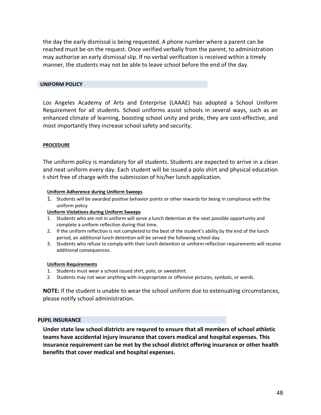the day the early dismissal is being requested. A phone number where a parent can be reached must be on the request. Once verified verbally from the parent, to administration may authorize an early dismissal slip. If no verbal verification is received within a timely manner, the students may not be able to leave school before the end of the day.

#### **UNIFORM POLICY**

Los Angeles Academy of Arts and Enterprise (LAAAE) has adopted a School Uniform Requirement for all students. School uniforms assist schools in several ways, such as an enhanced climate of learning, boosting school unity and pride, they are cost-effective, and most importantly they increase school safety and security.

#### **PROCEDURE**

The uniform policy is mandatory for all students. Students are expected to arrive in a clean and neat uniform every day. Each student will be issued a polo shirt and physical education t-shirt free of charge with the submission of his/her lunch application.

#### **Uniform Adherence during Uniform Sweeps**

1. Students will be awarded positive behavior points or other rewards for being in compliance with the uniform policy

#### **Uniform Violations during Uniform Sweeps**

- 1. Students who are not in uniform will serve a lunch detention at the next possible opportunity and complete a uniform reflection during that time.
- 2. If the uniform reflection is not completed to the best of the student's ability by the end of the lunch period, an additional lunch detention will be served the following school day.
- 3. Students who refuse to comply with their lunch detention or uniform reflection requirements will receive additional consequences.

#### **Uniform Requirements**

- 1. Students must wear a school issued shirt, polo, or sweatshirt.
- 2. Students may not wear anything with inappropriate or offensive pictures, symbols, or words.

**NOTE:** If the student is unable to wear the school uniform due to extenuating circumstances, please notify school administration.

#### **PUPIL INSURANCE**

**Under state law school districts are requred to ensure that all members of school athletic teams have accidental injury insurance that covers medical and hospital expenses. This insurance requirement can be met by the school district offering insurance or other health benefits that cover medical and hospital expenses.**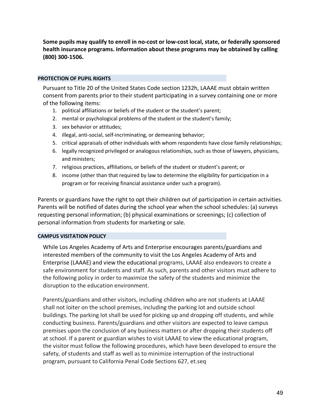**Some pupils may qualify to enroll in no-cost or low-cost local, state, or federally sponsored health insurance programs. Information about these programs may be obtained by calling (800) 300-1506.**

#### **PROTECTION OF PUPIL RIGHTS**

Pursuant to Title 20 of the United States Code section 1232h, LAAAE must obtain written consent from parents prior to their student participating in a survey containing one or more of the following items:

- 1. political affiliations or beliefs of the student or the student's parent;
- 2. mental or psychological problems of the student or the student's family;
- 3. sex behavior or attitudes;
- 4. illegal, anti-social, self-incriminating, or demeaning behavior;
- 5. critical appraisals of other individuals with whom respondents have close family relationships;
- 6. legally recognized privileged or analogous relationships, such as those of lawyers, physicians, and ministers;
- 7. religious practices, affiliations, or beliefs of the student or student's parent; or
- 8. income (other than that required by law to determine the eligibility for participation in a program or for receiving financial assistance under such a program).

Parents or guardians have the right to opt their children out of participation in certain activities. Parents will be notified of dates during the school year when the school schedules: (a) surveys requesting personal information; (b) physical examinations or screenings; (c) collection of personal information from students for marketing or sale.

#### **CAMPUS VISITATION POLICY**

While Los Angeles Academy of Arts and Enterprise encourages parents/guardians and interested members of the community to visit the Los Angeles Academy of Arts and Enterprise (LAAAE) and view the educational programs, LAAAE also endeavors to create a safe environment for students and staff. As such, parents and other visitors must adhere to the following policy in order to maximize the safety of the students and minimize the disruption to the education environment.

Parents/guardians and other visitors, including children who are not students at LAAAE shall not loiter on the school premises, including the parking lot and outside school buildings. The parking lot shall be used for picking up and dropping off students, and while conducting business. Parents/guardians and other visitors are expected to leave campus premises upon the conclusion of any business matters or after dropping their students off at school. If a parent or guardian wishes to visit LAAAE to view the educational program, the visitor must follow the following procedures, which have been developed to ensure the safety, of students and staff as well as to minimize interruption of the instructional program, pursuant to California Penal Code Sections 627, et.seq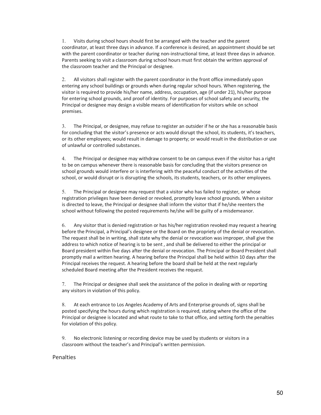1. Visits during school hours should first be arranged with the teacher and the parent coordinator, at least three days in advance. If a conference is desired, an appointment should be set with the parent coordinator or teacher during non-instructional time, at least three days in advance. Parents seeking to visit a classroom during school hours must first obtain the written approval of the classroom teacher and the Principal or designee.

2. All visitors shall register with the parent coordinator in the front office immediately upon entering any school buildings or grounds when during regular school hours. When registering, the visitor is required to provide his/her name, address, occupation, age (if under 21), his/her purpose for entering school grounds, and proof of identity. For purposes of school safety and security, the Principal or designee may design a visible means of identification for visitors while on school premises.

3. The Principal, or designee, may refuse to register an outsider if he or she has a reasonable basis for concluding that the visitor's presence or acts would disrupt the school, its students, it's teachers, or its other employees; would result in damage to property; or would result in the distribution or use of unlawful or controlled substances.

4. The Principal or designee may withdraw consent to be on campus even if the visitor has a right to be on campus whenever there is reasonable basis for concluding that the visitors presence on school grounds would interfere or is interfering with the peaceful conduct of the activities of the school, or would disrupt or is disrupting the schools, its students, teachers, or its other employees.

5. The Principal or designee may request that a visitor who has failed to register, or whose registration privileges have been denied or revoked, promptly leave school grounds. When a visitor is directed to leave, the Principal or designee shall inform the visitor that if he/she reenters the school without following the posted requirements he/she will be guilty of a misdemeanor.

6. Any visitor that is denied registration or has his/her registration revoked may request a hearing before the Principal, a Principal's designee or the Board on the propriety of the denial or revocation. The request shall be in writing, shall state why the denial or revocation was improper, shall give the address to which notice of hearing is to be sent , and shall be delivered to either the principal or Board president within five days after the denial or revocation. The Principal or Board President shall promptly mail a written hearing. A hearing before the Principal shall be held within 10 days after the Principal receives the request. A hearing before the board shall be held at the next regularly scheduled Board meeting after the President receives the request.

7. The Principal or designee shall seek the assistance of the police in dealing with or reporting any visitors in violation of this policy.

8. At each entrance to Los Angeles Academy of Arts and Enterprise grounds of, signs shall be posted specifying the hours during which registration is required, stating where the office of the Principal or designee is located and what route to take to that office, and setting forth the penalties for violation of this policy.

9. No electronic listening or recording device may be used by students or visitors in a classroom without the teacher's and Principal's written permission.

#### Penalties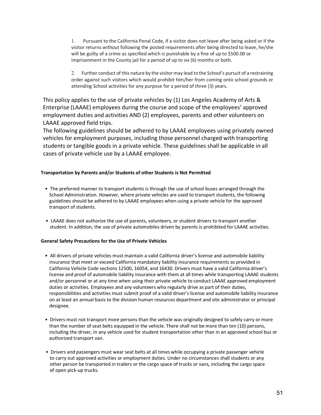1. Pursuant to the California Penal Code, if a visitor does not leave after being asked or if the visitor returns without following the posted requirements after being directed to leave, he/she will be guilty of a crime as specified which is punishable by a fine of up to \$500.00 or imprisonment in the County jail for a period of up to six (6) months or both.

2. Further conduct of this nature by the visitor may lead to the School's pursuit of a restraining order against such visitors which would prohibit him/her from coming onto school grounds or attending School activities for any purpose for a period of three (3) years.

This policy applies to the use of private vehicles by (1) Los Angeles Academy of Arts & Enterprise (LAAAE) employees during the course and scope of the employees' approved employment duties and activities AND (2) employees, parents and other volunteers on LAAAE approved field trips.

The following guidelines should be adhered to by LAAAE employees using privately owned vehicles for employment purposes, including those personnel charged with transporting students or tangible goods in a private vehicle. These guidelines shall be applicable in all cases of private vehicle use by a LAAAE employee.

#### **Transportation by Parents and/or Students of other Students is Not Permitted**

- The preferred manner to transport students is through the use of school buses arranged through the School Administration. However, where private vehicles are used to transport students, the following guidelines should be adhered to by LAAAE employees when using a private vehicle for the approved transport of students.
- LAAAE does not authorize the use of parents, volunteers, or student drivers to transport another student. In addition, the use of private automobiles driven by parents is prohibited for LAAAE activities.

#### **General Safety Precautions for the Use of Private Vehicles**

- All drivers of private vehicles must maintain a valid California driver's license and automobile liability insurance that meet or exceed California mandatory liability insurance requirements as provided in California Vehicle Code sections 12500, 16054, and 16430. Drivers must have a valid California driver's license and proof of automobile liability insurance with them at all times while transporting LAAAE students and/or personnel or at any time when using their private vehicle to conduct LAAAE approved employment duties or activities. Employees and any volunteers who regularly drive as part of their duties, responsibilities and activities must submit proof of a valid driver's license and automobile liability insurance on at least an annual basis to the division human resources department and site administrator or principal designee.
- Drivers must not transport more persons than the vehicle was originally designed to safely carry or more than the number of seat belts equipped in the vehicle. There shall not be more than ten (10) persons, including the driver, in any vehicle used for student transportation other than in an approved school bus or authorized transport van.
- Drivers and passengers must wear seat belts at all times while occupying a private passenger vehicle to carry out approved activities or employment duties. Under no circumstances shall students or any other person be transported in trailers or the cargo space of trucks or vans, including the cargo space of open pick-up trucks.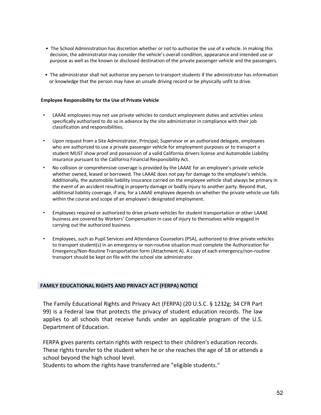- The School Administration has discretion whether or not to authorize the use of a vehicle. In making this decision, the administrator may consider the vehicle's overall condition, appearance and intended use or purpose as well as the known or disclosed destination of the private passenger vehicle and the passengers.
- The administrator shall not authorize any person to transport students if the administrator has information or knowledge that the person may have an unsafe driving record or be physically unfit to drive.

#### **Employee Responsibility for the Use of Private Vehicle**

- LAAAE employees may not use private vehicles to conduct employment duties and activities unless specifically authorized to do so in advance by the site administrator in compliance with their job classification and responsibilities.
- Upon request from a Site Administrator, Principal, Supervisor or an authorized delegate, employees who are authorized to use a private passenger vehicle for employment purposes or to transport a student MUST show proof and possession of a valid California drivers license and Automobile Liability insurance pursuant to the California Financial Responsibility Act.
- No collision or comprehensive coverage is provided by the LAAAE for an employee's private vehicle whether owned, leased or borrowed. The LAAAE does not pay for damage to the employee's vehicle. Additionally, the automobile liability insurance carried on the employee vehicle shall always be primary in the event of an accident resulting in property damage or bodily injury to another party. Beyond that, additional liability coverage, if any, for a LAAAE employee depends on whether the private vehicle use falls within the course and scope of an employee's designated employment.
- Employees required or authorized to drive private vehicles for student transportation or other LAAAE business are covered by Workers' Compensation in case of injury to themselves while engaged in carrying out the authorized business.
- Employees, such as Pupil Services and Attendance Counselors (PSA), authorized to drive private vehicles to transport student(s) in an emergency or non-routine situation must complete the Authorization for Emergency/Non-Routine Transportation form (Attachment A). A copy of each emergency/non-routine transport should be kept on file with the school site administrator.

#### **FAMILY EDUCATIONAL RIGHTS AND PRIVACY ACT (FERPA) NOTICE**

The Family Educational Rights and Privacy Act (FERPA) (20 U.S.C. § 1232g; 34 CFR Part 99) is a Federal law that protects the privacy of student education records. The law applies to all schools that receive funds under an applicable program of the U.S. Department of Education.

FERPA gives parents certain rights with respect to their children's education records. These rights transfer to the student when he or she reaches the age of 18 or attends a school beyond the high school level.

Students to whom the rights have transferred are "eligible students."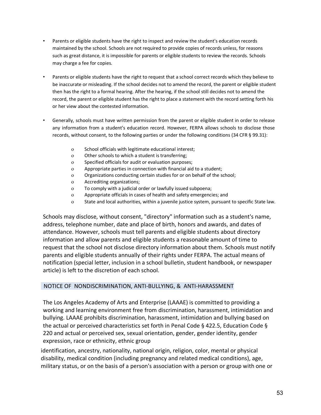- Parents or eligible students have the right to inspect and review the student's education records maintained by the school. Schools are not required to provide copies of records unless, for reasons such as great distance, it is impossible for parents or eligible students to review the records. Schools may charge a fee for copies.
- Parents or eligible students have the right to request that a school correct records which they believe to be inaccurate or misleading. If the school decides not to amend the record, the parent or eligible student then has the right to a formal hearing. After the hearing, if the school still decides not to amend the record, the parent or eligible student has the right to place a statement with the record setting forth his or her view about the contested information.
- Generally, schools must have written permission from the parent or eligible student in order to release any information from a student's education record. However, FERPA allows schools to disclose those records, without consent, to the following parties or under the following conditions (34 CFR § 99.31):
	- o School officials with legitimate educational interest;
	- o Other schools to which a student is transferring;
	- o Specified officials for audit or evaluation purposes;
	- o Appropriate parties in connection with financial aid to a student;
	- o Organizations conducting certain studies for or on behalf of the school;
	- o Accrediting organizations;
	- o To comply with a judicial order or lawfully issued subpoena;
	- o Appropriate officials in cases of health and safety emergencies; and
	- o State and local authorities, within a juvenile justice system, pursuant to specific State law.

Schools may disclose, without consent, "directory" information such as a student's name, address, telephone number, date and place of birth, honors and awards, and dates of attendance. However, schools must tell parents and eligible students about directory information and allow parents and eligible students a reasonable amount of time to request that the school not disclose directory information about them. Schools must notify parents and eligible students annually of their rights under FERPA. The actual means of notification (special letter, inclusion in a school bulletin, student handbook, or newspaper article) is left to the discretion of each school.

#### NOTICE OF NONDISCRIMINATION, ANTI-BULLYING, & ANTI-HARASSMENT

The Los Angeles Academy of Arts and Enterprise (LAAAE) is committed to providing a working and learning environment free from discrimination, harassment, intimidation and bullying. LAAAE prohibits discrimination, harassment, intimidation and bullying based on the actual or perceived characteristics set forth in Penal Code § 422.5, Education Code § 220 and actual or perceived sex, sexual orientation, gender, gender identity, gender expression, race or ethnicity, ethnic group

identification, ancestry, nationality, national origin, religion, color, mental or physical disability, medical condition (including pregnancy and related medical conditions), age, military status, or on the basis of a person's association with a person or group with one or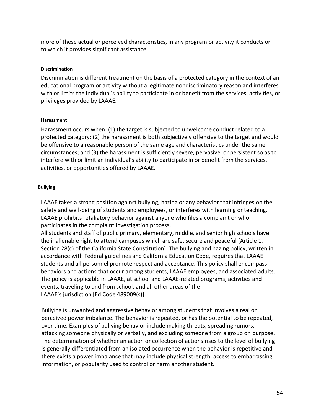more of these actual or perceived characteristics, in any program or activity it conducts or to which it provides significant assistance.

#### **Discrimination**

Discrimination is different treatment on the basis of a protected category in the context of an educational program or activity without a legitimate nondiscriminatory reason and interferes with or limits the individual's ability to participate in or benefit from the services, activities, or privileges provided by LAAAE.

#### **Harassment**

Harassment occurs when: (1) the target is subjected to unwelcome conduct related to a protected category; (2) the harassment is both subjectively offensive to the target and would be offensive to a reasonable person of the same age and characteristics under the same circumstances; and (3) the harassment is sufficiently severe, pervasive, or persistent so as to interfere with or limit an individual's ability to participate in or benefit from the services, activities, or opportunities offered by LAAAE.

#### **Bullying**

LAAAE takes a strong position against bullying, hazing or any behavior that infringes on the safety and well-being of students and employees, or interferes with learning or teaching. LAAAE prohibits retaliatory behavior against anyone who files a complaint or who participates in the complaint investigation process.

All students and staff of public primary, elementary, middle, and senior high schools have the inalienable right to attend campuses which are safe, secure and peaceful [Article 1, Section 28(c) of the California State Constitution]. The bullying and hazing policy, written in accordance with Federal guidelines and California Education Code, requires that LAAAE students and all personnel promote respect and acceptance. This policy shall encompass behaviors and actions that occur among students, LAAAE employees, and associated adults. The policy is applicable in LAAAE, at school and LAAAE-related programs, activities and events, traveling to and from school, and all other areas of the LAAAE's jurisdiction [Ed Code 489009(s)].

Bullying is unwanted and aggressive behavior among students that involves a real or perceived power imbalance. The behavior is repeated, or has the potential to be repeated, over time. Examples of bullying behavior include making threats, spreading rumors, attacking someone physically or verbally, and excluding someone from a group on purpose. The determination of whether an action or collection of actions rises to the level of bullying is generally differentiated from an isolated occurrence when the behavior is repetitive and there exists a power imbalance that may include physical strength, access to embarrassing information, or popularity used to control or harm another student.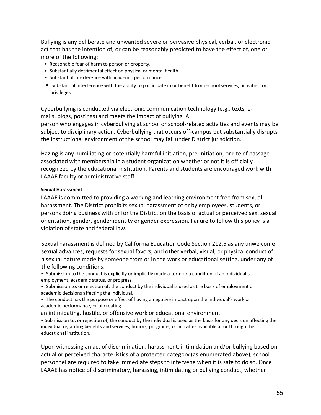Bullying is any deliberate and unwanted severe or pervasive physical, verbal, or electronic act that has the intention of, or can be reasonably predicted to have the effect of, one or more of the following:

- Reasonable fear of harm to person or property.
- Substantially detrimental effect on physical or mental health.
- Substantial interference with academic performance.
- Substantial interference with the ability to participate in or benefit from school services, activities, or privileges.

Cyberbullying is conducted via electronic communication technology (e.g., texts, emails, blogs, postings) and meets the impact of bullying. A

person who engages in cyberbullying at school or school-related activities and events may be subject to disciplinary action. Cyberbullying that occurs off-campus but substantially disrupts the instructional environment of the school may fall under District jurisdiction.

Hazing is any humiliating or potentially harmful initiation, pre-initiation, or rite of passage associated with membership in a student organization whether or not it is officially recognized by the educational institution. Parents and students are encouraged work with LAAAE faculty or administrative staff.

#### **Sexual Harassment**

LAAAE is committed to providing a working and learning environment free from sexual harassment. The District prohibits sexual harassment of or by employees, students, or persons doing business with or for the District on the basis of actual or perceived sex, sexual orientation, gender, gender identity or gender expression. Failure to follow this policy is a violation of state and federal law.

Sexual harassment is defined by California Education Code Section 212.5 as any unwelcome sexual advances, requests for sexual favors, and other verbal, visual, or physical conduct of a sexual nature made by someone from or in the work or educational setting, under any of the following conditions:

• Submission to the conduct is explicitly or implicitly made a term or a condition of an individual's employment, academic status, or progress.

• Submission to, or rejection of, the conduct by the individual is used as the basis of employment or academic decisions affecting the individual.

• The conduct has the purpose or effect of having a negative impact upon the individual's work or academic performance, or of creating

an intimidating, hostile, or offensive work or educational environment.

• Submission to, or rejection of, the conduct by the individual is used as the basis for any decision affecting the individual regarding benefits and services, honors, programs, or activities available at or through the educational institution.

Upon witnessing an act of discrimination, harassment, intimidation and/or bullying based on actual or perceived characteristics of a protected category (as enumerated above), school personnel are required to take immediate steps to intervene when it is safe to do so. Once LAAAE has notice of discriminatory, harassing, intimidating or bullying conduct, whether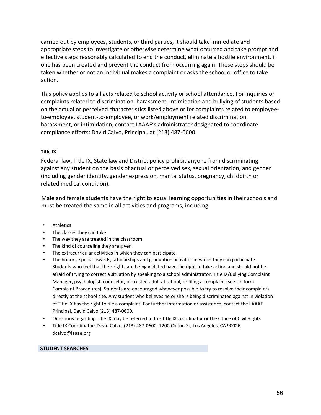carried out by employees, students, or third parties, it should take immediate and appropriate steps to investigate or otherwise determine what occurred and take prompt and effective steps reasonably calculated to end the conduct, eliminate a hostile environment, if one has been created and prevent the conduct from occurring again. These steps should be taken whether or not an individual makes a complaint or asks the school or office to take action.

This policy applies to all acts related to school activity or school attendance. For inquiries or complaints related to discrimination, harassment, intimidation and bullying of students based on the actual or perceived characteristics listed above or for complaints related to employeeto-employee, student-to-employee, or work/employment related discrimination, harassment, or intimidation, contact LAAAE's administrator designated to coordinate compliance efforts: David Calvo, Principal, at (213) 487-0600.

#### **Title IX**

Federal law, Title IX, State law and District policy prohibit anyone from discriminating against any student on the basis of actual or perceived sex, sexual orientation, and gender (including gender identity, gender expression, marital status, pregnancy, childbirth or related medical condition).

Male and female students have the right to equal learning opportunities in their schools and must be treated the same in all activities and programs, including:

- Athletics
- The classes they can take
- The way they are treated in the classroom
- The kind of counseling they are given
- The extracurricular activities in which they can participate
- The honors, special awards, scholarships and graduation activities in which they can participate Students who feel that their rights are being violated have the right to take action and should not be afraid of trying to correct a situation by speaking to a school administrator, Title IX/Bullying Complaint Manager, psychologist, counselor, or trusted adult at school, or filing a complaint (see Uniform Complaint Procedures). Students are encouraged whenever possible to try to resolve their complaints directly at the school site. Any student who believes he or she is being discriminated against in violation of Title IX has the right to file a complaint. For further information or assistance, contact the LAAAE Principal, David Calvo (213) 487-0600.
- Questions regarding Title IX may be referred to the Title IX coordinator or the Office of Civil Rights
- Title IX Coordinator: David Calvo, (213) 487-0600, 1200 Colton St, Los Angeles, CA 90026, dcalvo@laaae.org

#### **STUDENT SEARCHES**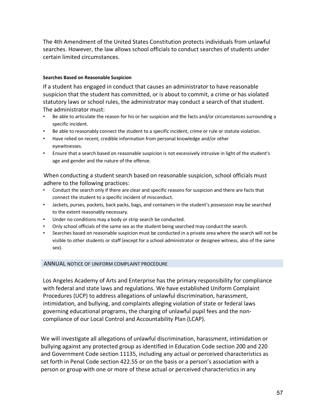The 4th Amendment of the United States Constitution protects individuals from unlawful searches. However, the law allows school officials to conduct searches of students under certain limited circumstances.

#### **Searches Based on Reasonable Suspicion**

If a student has engaged in conduct that causes an administrator to have reasonable suspicion that the student has committed, or is about to commit, a crime or has violated statutory laws or school rules, the administrator may conduct a search of that student. The administrator must:

- Be able to articulate the reason for his or her suspicion and the facts and/or circumstances surrounding a specific incident.
- Be able to reasonably connect the student to a specific incident, crime or rule or statute violation.
- Have relied on recent, credible information from personal knowledge and/or other eyewitnesses.
- Ensure that a search based on reasonable suspicion is not excessively intrusive in light of the student's age and gender and the nature of the offense.

When conducting a student search based on reasonable suspicion, school officials must adhere to the following practices:

- Conduct the search only if there are clear and specific reasons for suspicion and there are facts that connect the student to a specific incident of misconduct.
- Jackets, purses, pockets, back packs, bags, and containers in the student's possession may be searched to the extent reasonably necessary.
- Under no conditions may a body or strip search be conducted.
- Only school officials of the same sex as the student being searched may conduct the search.
- Searches based on reasonable suspicion must be conducted in a private area where the search will not be visible to other students or staff (except for a school administrator or designee witness, also of the same sex).

#### ANNUAL NOTICE OF UNIFORM COMPLAINT PROCEDURE

Los Angeles Academy of Arts and Enterprise has the primary responsibility for compliance with federal and state laws and regulations. We have established Uniform Complaint Procedures (UCP) to address allegations of unlawful discrimination, harassment, intimidation, and bullying, and complaints alleging violation of state or federal laws governing educational programs, the charging of unlawful pupil fees and the noncompliance of our Local Control and Accountability Plan (LCAP).

We will investigate all allegations of unlawful discrimination, harassment, intimidation or bullying against any protected group as identified in Education Code section 200 and 220 and Government Code section 11135, including any actual or perceived characteristics as set forth in Penal Code section 422.55 or on the basis or a person's association with a person or group with one or more of these actual or perceived characteristics in any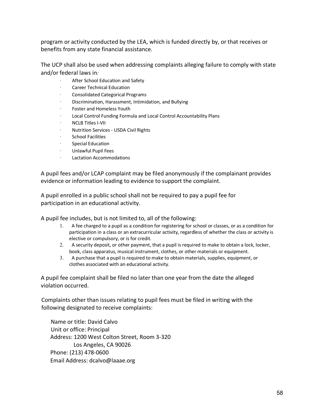program or activity conducted by the LEA, which is funded directly by, or that receives or benefits from any state financial assistance.

The UCP shall also be used when addressing complaints alleging failure to comply with state and/or federal laws in*:*

- After School Education and Safety
- · Career Technical Education
- · Consolidated Categorical Programs
- · Discrimination, Harassment, Intimidation, and Bullying
- Foster and Homeless Youth
- Local Control Funding Formula and Local Control Accountability Plans
- · NCLB Titles I-VII
- · Nutrition Services USDA Civil Rights
- School Facilities
- · Special Education
- · Unlawful Pupil Fees
- · Lactation Accommodations

A pupil fees and/or LCAP complaint may be filed anonymously if the complainant provides evidence or information leading to evidence to support the complaint.

A pupil enrolled in a public school shall not be required to pay a pupil fee for participation in an educational activity.

A pupil fee includes, but is not limited to, all of the following:

- 1. A fee charged to a pupil as a condition for registering for school or classes, or as a condition for participation in a class or an extracurricular activity, regardless of whether the class or activity is elective or compulsory, or is for credit.
- 2. A security deposit, or other payment, that a pupil is required to make to obtain a lock, locker, book, class apparatus, musical instrument, clothes, or other materials or equipment.
- 3. A purchase that a pupil is required to make to obtain materials, supplies, equipment, or clothes associated with an educational activity.

A pupil fee complaint shall be filed no later than one year from the date the alleged violation occurred.

Complaints other than issues relating to pupil fees must be filed in writing with the following designated to receive complaints:

Name or title: David Calvo Unit or office: Principal Address: 1200 West Colton Street, Room 3-320 Los Angeles, CA 90026 Phone: (213) 478-0600 Email Address: dcalvo@laaae.org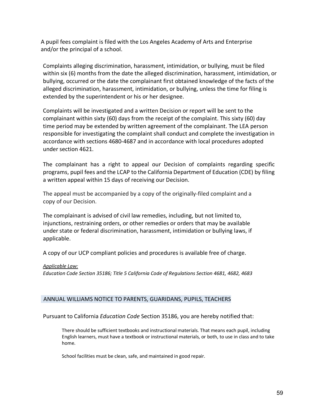A pupil fees complaint is filed with the Los Angeles Academy of Arts and Enterprise and/or the principal of a school.

Complaints alleging discrimination, harassment, intimidation, or bullying, must be filed within six (6) months from the date the alleged discrimination, harassment, intimidation, or bullying, occurred or the date the complainant first obtained knowledge of the facts of the alleged discrimination, harassment, intimidation, or bullying, unless the time for filing is extended by the superintendent or his or her designee.

Complaints will be investigated and a written Decision or report will be sent to the complainant within sixty (60) days from the receipt of the complaint. This sixty (60) day time period may be extended by written agreement of the complainant. The LEA person responsible for investigating the complaint shall conduct and complete the investigation in accordance with sections 4680-4687 and in accordance with local procedures adopted under section 4621.

The complainant has a right to appeal our Decision of complaints regarding specific programs, pupil fees and the LCAP to the California Department of Education (CDE) by filing a written appeal within 15 days of receiving our Decision.

The appeal must be accompanied by a copy of the originally-filed complaint and a copy of our Decision.

The complainant is advised of civil law remedies, including, but not limited to, injunctions, restraining orders, or other remedies or orders that may be available under state or federal discrimination, harassment, intimidation or bullying laws, if applicable.

A copy of our UCP compliant policies and procedures is available free of charge.

#### *Applicable Law:*

*Education Code Section 35186; Title 5 California Code of Regulations Section 4681, 4682, 4683*

#### ANNUAL WILLIAMS NOTICE TO PARENTS, GUARIDANS, PUPILS, TEACHERS

#### Pursuant to California *Education Code* Section 35186, you are hereby notified that:

There should be sufficient textbooks and instructional materials. That means each pupil, including English learners, must have a textbook or instructional materials, or both, to use in class and to take home.

School facilities must be clean, safe, and maintained in good repair.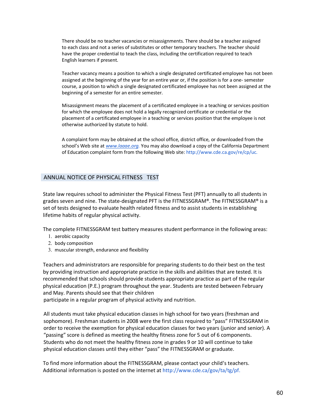There should be no teacher vacancies or misassignments. There should be a teacher assigned to each class and not a series of substitutes or other temporary teachers. The teacher should have the proper credential to teach the class, including the certification required to teach English learners if present.

Teacher vacancy means a position to which a single designated certificated employee has not been assigned at the beginning of the year for an entire year or, if the position is for a one- semester course, a position to which a single designated certificated employee has not been assigned at the beginning of a semester for an entire semester.

Misassignment means the placement of a certificated employee in a teaching or services position for which the employee does not hold a legally recognized certificate or credential or the placement of a certificated employee in a teaching or services position that the employee is not otherwise authorized by statute to hold.

A complaint form may be obtained at the school office, district office, or downloaded from the school's Web site at *www.laaae.org.* You may also download a copy of the California Department of Education complaint form from the following Web site: http://www.cde.ca.gov/re/cp/uc.

#### ANNUAL NOTICE OF PHYSICAL FITNESS TEST

State law requires school to administer the Physical Fitness Test (PFT) annually to all students in grades seven and nine. The state-designated PFT is the FITNESSGRAM®. The FITNESSGRAM® is a set of tests designed to evaluate health related fitness and to assist students in establishing lifetime habits of regular physical activity.

The complete FITNESSGRAM test battery measures student performance in the following areas:

- 1. aerobic capacity
- 2. body composition
- 3. muscular strength, endurance and flexibility

Teachers and administrators are responsible for preparing students to do their best on the test by providing instruction and appropriate practice in the skills and abilities that are tested. It is recommended that schools should provide students appropriate practice as part of the regular physical education (P.E.) program throughout the year. Students are tested between February and May. Parents should see that their children

participate in a regular program of physical activity and nutrition.

All students must take physical education classes in high school for two years (freshman and sophomore). Freshman students in 2008 were the first class required to "pass" FITNESSGRAM in order to receive the exemption for physical education classes for two years (junior and senior). A "passing" score is defined as meeting the healthy fitness zone for 5 out of 6 components. Students who do not meet the healthy fitness zone in grades 9 or 10 will continue to take physical education classes until they either "pass" the FITNESSGRAM or graduate.

To find more information about the FITNESSGRAM, please contact your child's teachers. Additional information is posted on the internet at http://www.cde.ca/gov/ta/tg/pf.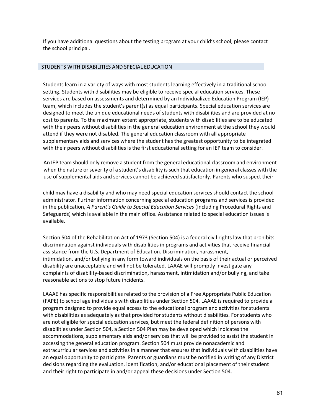If you have additional questions about the testing program at your child's school, please contact the school principal.

#### STUDENTS WITH DISABILITIES AND SPECIAL EDUCATION

Students learn in a variety of ways with most students learning effectively in a traditional school setting. Students with disabilities may be eligible to receive special education services. These services are based on assessments and determined by an Individualized Education Program (IEP) team, which includes the student's parent(s) as equal participants. Special education services are designed to meet the unique educational needs of students with disabilities and are provided at no cost to parents. To the maximum extent appropriate, students with disabilities are to be educated with their peers without disabilities in the general education environment at the school they would attend if they were not disabled. The general education classroom with all appropriate supplementary aids and services where the student has the greatest opportunity to be integrated with their peers without disabilities is the first educational setting for an IEP team to consider.

An IEP team should only remove a student from the general educational classroom and environment when the nature or severity of a student's disability is such that education in general classes with the use of supplemental aids and services cannot be achieved satisfactorily. Parents who suspect their

child may have a disability and who may need special education services should contact the school administrator. Further information concerning special education programs and services is provided in the publication, *A Parent's Guide to Special Education Services* (Including Procedural Rights and Safeguards) which is available in the main office. Assistance related to special education issues is available.

Section 504 of the Rehabilitation Act of 1973 (Section 504) is a federal civil rights law that prohibits discrimination against individuals with disabilities in programs and activities that receive financial assistance from the U.S. Department of Education. Discrimination, harassment, intimidation, and/or bullying in any form toward individuals on the basis of their actual or perceived disability are unacceptable and will not be tolerated. LAAAE will promptly investigate any complaints of disability-based discrimination, harassment, intimidation and/or bullying, and take reasonable actions to stop future incidents.

LAAAE has specific responsibilities related to the provision of a Free Appropriate Public Education (FAPE) to school age individuals with disabilities under Section 504. LAAAE is required to provide a program designed to provide equal access to the educational program and activities for students with disabilities as adequately as that provided for students without disabilities. For students who are not eligible for special education services, but meet the federal definition of persons with disabilities under Section 504, a Section 504 Plan may be developed which indicates the accommodations, supplementary aids and/or services that will be provided to assist the student in accessing the general education program. Section 504 must provide nonacademic and extracurricular services and activities in a manner that ensures that individuals with disabilities have an equal opportunity to participate. Parents or guardians must be notified in writing of any District decisions regarding the evaluation, identification, and/or educational placement of their student and their right to participate in and/or appeal these decisions under Section 504.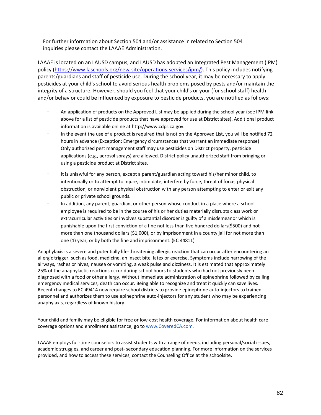For further information about Section 504 and/or assistance in related to Section 504 inquiries please contact the LAAAE Administration.

LAAAE is located on an LAUSD campus, and LAUSD has adopted an Integrated Pest Management (IPM) policy (https://www.laschools.org/new-site/operations-services/ipm/). This policy includes notifying parents/guardians and staff of pesticide use. During the school year, it may be necessary to apply pesticides at your child's school to avoid serious health problems posed by pests and/or maintain the integrity of a structure. However, should you feel that your child's or your (for school staff) health and/or behavior could be influenced by exposure to pesticide products, you are notified as follows:

- An application of products on the Approved List may be applied during the school year (see IPM link above for a list of pesticide products that have approved for use at District sites). Additional product information is available online at http://www.cdpr.ca.gov.
- In the event the use of a product is required that is not on the Approved List, you will be notified 72 hours in advance (Exception: Emergency circumstances that warrant an immediate response)
- · Only authorized pest management staff may use pesticides on District property. pesticide applications (e.g., aerosol sprays) are allowed. District policy unauthorized staff from bringing or using a pesticide product at District sites.
- · It is unlawful for any person, except a parent/guardian acting toward his/her minor child, to intentionally or to attempt to injure, intimidate, interfere by force, threat of force, physical obstruction, or nonviolent physical obstruction with any person attempting to enter or exit any public or private school grounds.
- · In addition, any parent, guardian, or other person whose conduct in a place where a school employee is required to be in the course of his or her duties materially disrupts class work or extracurricular activities or involves substantial disorder is guilty of a misdemeanor which is punishable upon the first conviction of a fine not less than five hundred dollars(\$500) and not more than one thousand dollars (\$1,000), or by imprisonment in a county jail for not more than one (1) year, or by both the fine and imprisonment. (EC 44811)

Anaphylaxis is a severe and potentially life-threatening allergic reaction that can occur after encountering an allergic trigger, such as food, medicine, an insect bite, latex or exercise. Symptoms include narrowing of the airways, rashes or hives, nausea or vomiting, a weak pulse and dizziness. It is estimated that approximately 25% of the anaphylactic reactions occur during school hours to students who had not previously been diagnosed with a food or other allergy. Without immediate administration of epinephrine followed by calling emergency medical services, death can occur. Being able to recognize and treat it quickly can save lives. Recent changes to EC 49414 now require school districts to provide epinephrine auto-injectors to trained personnel and authorizes them to use epinephrine auto-injectors for any student who may be experiencing anaphylaxis, regardless of known history.

Your child and family may be eligible for free or low-cost health coverage. For information about health care coverage options and enrollment assistance, go to www.CoveredCA.com.

LAAAE employs full-time counselors to assist students with a range of needs, including personal/social issues, academic struggles, and career and post- secondary education planning. For more information on the services provided, and how to access these services, contact the Counseling Office at the schoolsite.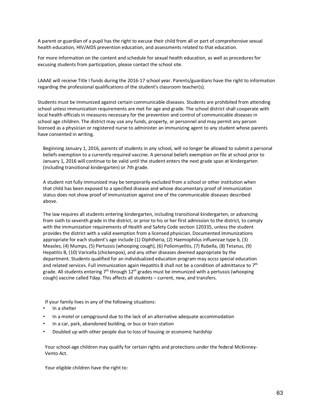A parent or guardian of a pupil has the right to excuse their child from all or part of comprehensive sexual health education, HIV/AIDS prevention education, and assessments related to that education.

For more information on the content and schedule for sexual health education, as well as procedures for excusing students from participation, please contact the school site.

LAAAE will receive Title I funds during the 2016-17 school year. Parents/guardians have the right to information regarding the professional qualifications of the student's classroom teacher(s).

Students must be immunized against certain communicable diseases. Students are prohibited from attending school unless immunization requirements are met for age and grade. The school district shall cooperate with local health officials in measures necessary for the prevention and control of communicable diseases in school age children. The district may use any funds, property, or personnel and may permit any person licensed as a physician or registered nurse to administer an immunizing agent to any student whose parents have consented in writing.

Beginning January 1, 2016, parents of students in any school, will no longer be allowed to submit a personal beliefs exemption to a currently required vaccine. A personal beliefs exemption on file at school prior to January 1, 2016 will continue to be valid until the student enters the next grade span at kindergarten (including transitional kindergarten) or 7th grade.

A student not fully immunized may be temporarily excluded from a school or other institution when that child has been exposed to a specified disease and whose documentary proof of immunization status does not show proof of immunization against one of the communicable diseases described above.

The law requires all students entering kindergarten, including transitional kindergarten, or advancing from sixth to seventh grade in the district, or prior to his or her first admission to the district, to comply with the immunization requirements of Health and Safety Code section 120335, unless the student provides the district with a valid exemption from a licensed physician. Documented immunizations appropriate for each student's age include (1) Diphtheria, (2) Haemophilus influenzae type b, (3) Measles, (4) Mumps, (5) Pertussis (whooping cough), (6) Poliomyelitis, (7) Rubella, (8) Tetanus, (9) Hepatitis B, (10) Varicella (chickenpox), and any other diseases deemed appropriate by the department. Students qualified for an individualized education program may accss special education and related services. Full immunization again Hepatitis B shall not be a condition of admittance to 7<sup>th</sup> grade. All students entering  $7<sup>th</sup>$  through  $12<sup>th</sup>$  grades must be immunized with a pertussis (whooping cough) vaccine called Tdap. This affects all students – current, new, and transfers.

If your family lives in any of the following situations:

- In a shelter
- In a motel or campground due to the lack of an alternative adequate accommodation
- In a car, park, abandoned building, or bus or train station
- Doubled up with other people due to loss of housing or economic hardship

Your school-age children may qualify for certain rights and protections under the federal McKinney-Vento Act.

Your eligible children have the right to: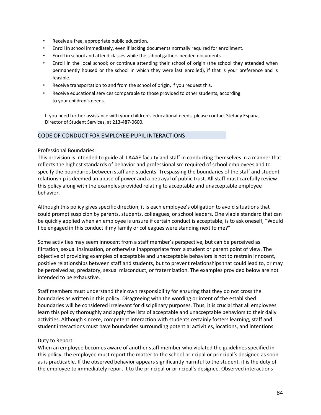- Receive a free, appropriate public education.
- Enroll in school immediately, even if lacking documents normally required for enrollment.
- Enroll in school and attend classes while the school gathers needed documents.
- Enroll in the local school; or continue attending their school of origin (the school they attended when permanently housed or the school in which they were last enrolled), if that is your preference and is feasible.
- Receive transportation to and from the school of origin, if you request this.
- Receive educational services comparable to those provided to other students, according to your children's needs.

If you need further assistance with your children's educational needs, please contact Stefany Espana, Director of Student Services, at 213-487-0600.

#### CODE OF CONDUCT FOR EMPLOYEE-PUPIL INTERACTIONS

#### Professional Boundaries:

This provision is intended to guide all LAAAE faculty and staff in conducting themselves in a manner that reflects the highest standards of behavior and professionalism required of school employees and to specify the boundaries between staff and students. Trespassing the boundaries of the staff and student relationship is deemed an abuse of power and a betrayal of public trust. All staff must carefully review this policy along with the examples provided relating to acceptable and unacceptable employee behavior.

Although this policy gives specific direction, it is each employee's obligation to avoid situations that could prompt suspicion by parents, students, colleagues, or school leaders. One viable standard that can be quickly applied when an employee is unsure if certain conduct is acceptable, is to ask oneself, "Would I be engaged in this conduct if my family or colleagues were standing next to me?"

Some activities may seem innocent from a staff member's perspective, but can be perceived as flirtation, sexual insinuation, or otherwise inappropriate from a student or parent point of view. The objective of providing examples of acceptable and unacceptable behaviors is not to restrain innocent, positive relationships between staff and students, but to prevent relationships that could lead to, or may be perceived as, predatory, sexual misconduct, or fraternization. The examples provided below are not intended to be exhaustive.

Staff members must understand their own responsibility for ensuring that they do not cross the boundaries as written in this policy. Disagreeing with the wording or intent of the established boundaries will be considered irrelevant for disciplinary purposes. Thus, it is crucial that all employees learn this policy thoroughly and apply the lists of acceptable and unacceptable behaviors to their daily activities. Although sincere, competent interaction with students certainly fosters learning, staff and student interactions must have boundaries surrounding potential activities, locations, and intentions.

#### Duty to Report:

When an employee becomes aware of another staff member who violated the guidelines specified in this policy, the employee must report the matter to the school principal or principal's designee as soon as is practicable. If the observed behavior appears significantly harmful to the student, it is the duty of the employee to immediately report it to the principal or principal's designee. Observed interactions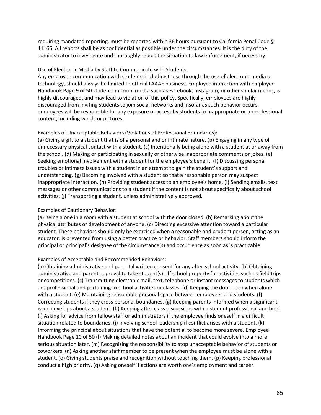requiring mandated reporting, must be reported within 36 hours pursuant to California Penal Code § 11166. All reports shall be as confidential as possible under the circumstances. It is the duty of the administrator to investigate and thoroughly report the situation to law enforcement, if necessary.

#### Use of Electronic Media by Staff to Communicate with Students:

Any employee communication with students, including those through the use of electronic media or technology, should always be limited to official LAAAE business. Employee interaction with Employee Handbook Page 9 of 50 students in social media such as Facebook, Instagram, or other similar means, is highly discouraged, and may lead to violation of this policy. Specifically, employees are highly discouraged from inviting students to join social networks and insofar as such behavior occurs, employees will be responsible for any exposure or access by students to inappropriate or unprofessional content, including words or pictures.

#### Examples of Unacceptable Behaviors (Violations of Professional Boundaries):

(a) Giving a gift to a student that is of a personal and or intimate nature. (b) Engaging in any type of unnecessary physical contact with a student. (c) Intentionally being alone with a student at or away from the school. (d) Making or participating in sexually or otherwise inappropriate comments or jokes. (e) Seeking emotional involvement with a student for the employee's benefit. (f) Discussing personal troubles or intimate issues with a student in an attempt to gain the student's support and understanding. (g) Becoming involved with a student so that a reasonable person may suspect inappropriate interaction. (h) Providing student access to an employee's home. (i) Sending emails, text messages or other communications to a student if the content is not about specifically about school activities. (j) Transporting a student, unless administratively approved.

#### Examples of Cautionary Behavior:

(a) Being alone in a room with a student at school with the door closed. (b) Remarking about the physical attributes or development of anyone. (c) Directing excessive attention toward a particular student. These behaviors should only be exercised when a reasonable and prudent person, acting as an educator, is prevented from using a better practice or behavior. Staff members should inform the principal or principal's designee of the circumstance(s) and occurrence as soon as is practicable.

#### Examples of Acceptable and Recommended Behaviors:

(a) Obtaining administrative and parental written consent for any after-school activity. (b) Obtaining administrative and parent approval to take student(s) off school property for activities such as field trips or competitions. (c) Transmitting electronic mail, text, telephone or instant messages to students which are professional and pertaining to school activities or classes. (d) Keeping the door open when alone with a student. (e) Maintaining reasonable personal space between employees and students. (f) Correcting students if they cross personal boundaries. (g) Keeping parents informed when a significant issue develops about a student. (h) Keeping after-class discussions with a student professional and brief. (i) Asking for advice from fellow staff or administrators if the employee finds oneself in a difficult situation related to boundaries. (j) Involving school leadership if conflict arises with a student. (k) Informing the principal about situations that have the potential to become more severe. Employee Handbook Page 10 of 50 (l) Making detailed notes about an incident that could evolve into a more serious situation later. (m) Recognizing the responsibility to stop unacceptable behavior of students or coworkers. (n) Asking another staff member to be present when the employee must be alone with a student. (o) Giving students praise and recognition without touching them. (p) Keeping professional conduct a high priority. (q) Asking oneself if actions are worth one's employment and career.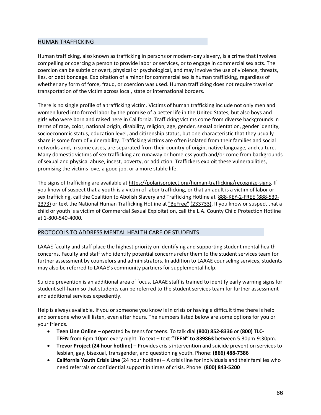#### HUMAN TRAFFICKING

Human trafficking, also known as trafficking in persons or modern-day slavery, is a crime that involves compelling or coercing a person to provide labor or services, or to engage in commercial sex acts. The coercion can be subtle or overt, physical or psychological, and may involve the use of violence, threats, lies, or debt bondage. Exploitation of a minor for commercial sex is human trafficking, regardless of whether any form of force, fraud, or coercion was used. Human trafficking does not require travel or transportation of the victim across local, state or international borders.

There is no single profile of a trafficking victim. Victims of human trafficking include not only men and women lured into forced labor by the promise of a better life in the United States, but also boys and girls who were born and raised here in California. Trafficking victims come from diverse backgrounds in terms of race, color, national origin, disability, religion, age, gender, sexual orientation, gender identity, socioeconomic status, education level, and citizenship status, but one characteristic that they usually share is some form of vulnerability. Trafficking victims are often isolated from their families and social networks and, in some cases, are separated from their country of origin, native language, and culture. Many domestic victims of sex trafficking are runaway or homeless youth and/or come from backgrounds of sexual and physical abuse, incest, poverty, or addiction. Traffickers exploit these vulnerabilities, promising the victims love, a good job, or a more stable life.

The signs of trafficking are available at https://polarisproject.org/human-trafficking/recognize-signs. If you know of suspect that a youth is a victim of labor trafficking, or that an adult is a victim of labor or sex trafficking, call the Coalition to Abolish Slavery and Trafficking Hotline at 888-KEY-2-FREE (888-539- 2373) or text the National Human Trafficking Hotline at "BeFree" (233733). If you know or suspect that a child or youth is a victim of Commercial Sexual Exploitation, call the L.A. County Child Protection Hotline at 1-800-540-4000.

#### PROTOCOLS TO ADDRESS MENTAL HEALTH CARE OF STUDENTS

LAAAE faculty and staff place the highest priority on identifying and supporting student mental health concerns. Faculty and staff who identify potential concerns refer them to the student services team for further assessment by counselors and administrators. In addition to LAAAE counseling services, students may also be referred to LAAAE's community partners for supplemental help.

Suicide prevention is an additional area of focus. LAAAE staff is trained to identify early warning signs for student self-harm so that students can be referred to the student services team for further assessment and additional services expediently.

Help is always available. If you or someone you know is in crisis or having a difficult time there is help and someone who will listen, even after hours. The numbers listed below are some options for you or your friends.

- **Teen Line Online** operated by teens for teens. To talk dial **(800) 852-8336** or **(800) TLC-TEEN** from 6pm-10pm every night. To text – text **"TEEN" to 839863** between 5:30pm-9:30pm.
- **Trevor Project (24 hour hotline)** Provides crisis intervention and suicide prevention services to lesbian, gay, bisexual, transgender, and questioning youth. Phone: **(866) 488-7386**
- **California Youth Crisis Line** (24 hour hotline) A crisis line for individuals and their families who need referrals or confidential support in times of crisis. Phone: **(800) 843-5200**